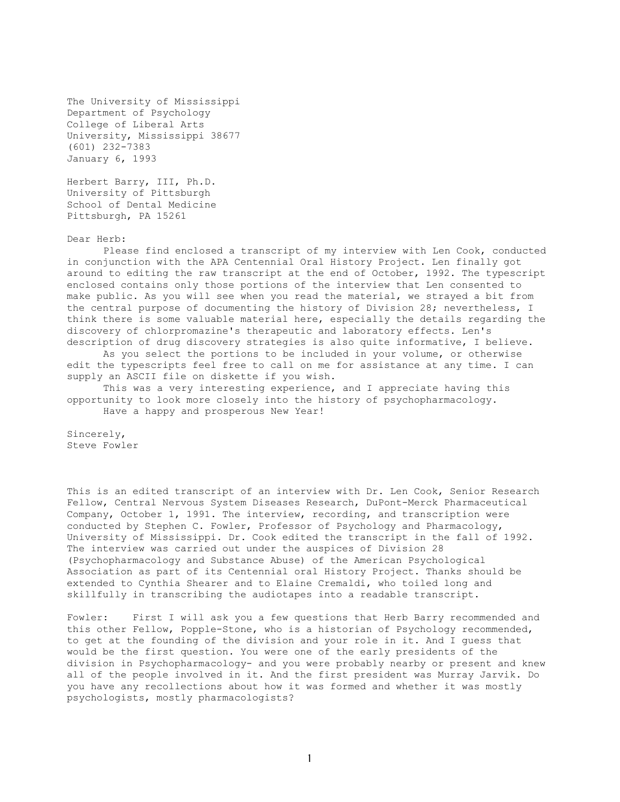The University of Mississippi Department of Psychology College of Liberal Arts University, Mississippi 38677 (601) 232-7383 January 6, 1993

Herbert Barry, III, Ph.D. University of Pittsburgh School of Dental Medicine Pittsburgh, PA 15261

Dear Herb:

Please find enclosed a transcript of my interview with Len Cook, conducted in conjunction with the APA Centennial Oral History Project. Len finally got around to editing the raw transcript at the end of October, 1992. The typescript enclosed contains only those portions of the interview that Len consented to make public. As you will see when you read the material, we strayed a bit from the central purpose of documenting the history of Division 28; nevertheless, I think there is some valuable material here, especially the details regarding the discovery of chlorpromazine's therapeutic and laboratory effects. Len's description of drug discovery strategies is also quite informative, I believe.

As you select the portions to be included in your volume, or otherwise edit the typescripts feel free to call on me for assistance at any time. I can supply an ASCII file on diskette if you wish.

This was a very interesting experience, and I appreciate having this opportunity to look more closely into the history of psychopharmacology. Have a happy and prosperous New Year!

Sincerely, Steve Fowler

This is an edited transcript of an interview with Dr. Len Cook, Senior Research Fellow, Central Nervous System Diseases Research, DuPont-Merck Pharmaceutical Company, October 1, 1991. The interview, recording, and transcription were conducted by Stephen C. Fowler, Professor of Psychology and Pharmacology, University of Mississippi. Dr. Cook edited the transcript in the fall of 1992. The interview was carried out under the auspices of Division 28 (Psychopharmacology and Substance Abuse) of the American Psychological Association as part of its Centennial oral History Project. Thanks should be extended to Cynthia Shearer and to Elaine Cremaldi, who toiled long and skillfully in transcribing the audiotapes into a readable transcript.

Fowler: First I will ask you a few questions that Herb Barry recommended and this other Fellow, Popple-Stone, who is a historian of Psychology recommended, to get at the founding of the division and your role in it. And I guess that would be the first question. You were one of the early presidents of the division in Psychopharmacology- and you were probably nearby or present and knew all of the people involved in it. And the first president was Murray Jarvik. Do you have any recollections about how it was formed and whether it was mostly psychologists, mostly pharmacologists?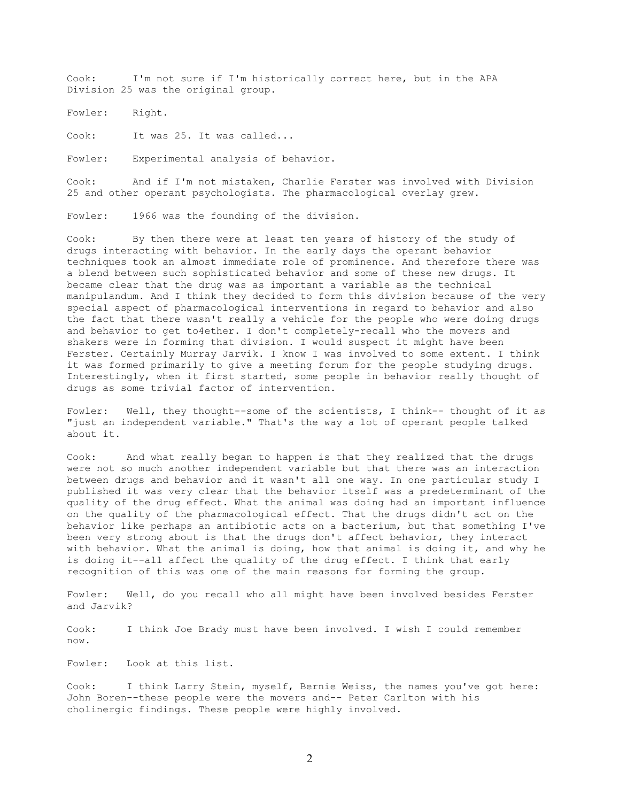Cook: I'm not sure if I'm historically correct here, but in the APA Division 25 was the original group.

Fowler: Right.

Cook: It was 25. It was called...

Fowler: Experimental analysis of behavior.

Cook: And if I'm not mistaken, Charlie Ferster was involved with Division 25 and other operant psychologists. The pharmacological overlay grew.

Fowler: 1966 was the founding of the division.

Cook: By then there were at least ten years of history of the study of drugs interacting with behavior. In the early days the operant behavior techniques took an almost immediate role of prominence. And therefore there was a blend between such sophisticated behavior and some of these new drugs. It became clear that the drug was as important a variable as the technical manipulandum. And I think they decided to form this division because of the very special aspect of pharmacological interventions in regard to behavior and also the fact that there wasn't really a vehicle for the people who were doing drugs and behavior to get to4ether. I don't completely-recall who the movers and shakers were in forming that division. I would suspect it might have been Ferster. Certainly Murray Jarvik. I know I was involved to some extent. I think it was formed primarily to give a meeting forum for the people studying drugs. Interestingly, when it first started, some people in behavior really thought of drugs as some trivial factor of intervention.

Fowler: Well, they thought--some of the scientists, I think-- thought of it as "just an independent variable." That's the way a lot of operant people talked about it.

Cook: And what really began to happen is that they realized that the drugs were not so much another independent variable but that there was an interaction between drugs and behavior and it wasn't all one way. In one particular study I published it was very clear that the behavior itself was a predeterminant of the quality of the drug effect. What the animal was doing had an important influence on the quality of the pharmacological effect. That the drugs didn't act on the behavior like perhaps an antibiotic acts on a bacterium, but that something I've been very strong about is that the drugs don't affect behavior, they interact with behavior. What the animal is doing, how that animal is doing it, and why he is doing it--all affect the quality of the drug effect. I think that early recognition of this was one of the main reasons for forming the group.

Fowler: Well, do you recall who all might have been involved besides Ferster and Jarvik?

Cook: I think Joe Brady must have been involved. I wish I could remember now.

Fowler: Look at this list.

Cook: I think Larry Stein, myself, Bernie Weiss, the names you've got here: John Boren--these people were the movers and-- Peter Carlton with his cholinergic findings. These people were highly involved.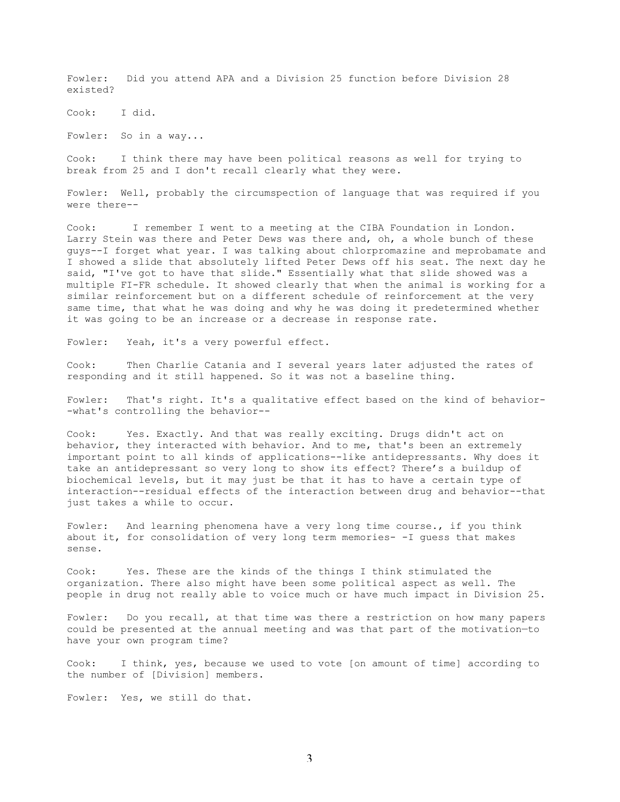Fowler: Did you attend APA and a Division 25 function before Division 28 existed?

Cook: I did.

Fowler: So in a way...

Cook: I think there may have been political reasons as well for trying to break from 25 and I don't recall clearly what they were.

Fowler: Well, probably the circumspection of language that was required if you were there--

Cook: I remember I went to a meeting at the CIBA Foundation in London. Larry Stein was there and Peter Dews was there and, oh, a whole bunch of these guys--I forget what year. I was talking about chlorpromazine and meprobamate and I showed a slide that absolutely lifted Peter Dews off his seat. The next day he said, "I've got to have that slide." Essentially what that slide showed was a multiple FI-FR schedule. It showed clearly that when the animal is working for a similar reinforcement but on a different schedule of reinforcement at the very same time, that what he was doing and why he was doing it predetermined whether it was going to be an increase or a decrease in response rate.

Fowler: Yeah, it's a very powerful effect.

Cook: Then Charlie Catania and I several years later adjusted the rates of responding and it still happened. So it was not a baseline thing.

Fowler: That's right. It's a qualitative effect based on the kind of behavior- -what's controlling the behavior--

Cook: Yes. Exactly. And that was really exciting. Drugs didn't act on behavior, they interacted with behavior. And to me, that's been an extremely important point to all kinds of applications--like antidepressants. Why does it take an antidepressant so very long to show its effect? There's a buildup of biochemical levels, but it may just be that it has to have a certain type of interaction--residual effects of the interaction between drug and behavior--that just takes a while to occur.

Fowler: And learning phenomena have a very long time course., if you think about it, for consolidation of very long term memories- -I guess that makes sense.

Cook: Yes. These are the kinds of the things I think stimulated the organization. There also might have been some political aspect as well. The people in drug not really able to voice much or have much impact in Division 25.

Fowler: Do you recall, at that time was there a restriction on how many papers could be presented at the annual meeting and was that part of the motivation—to have your own program time?

Cook: I think, yes, because we used to vote [on amount of time] according to the number of [Division] members.

Fowler: Yes, we still do that.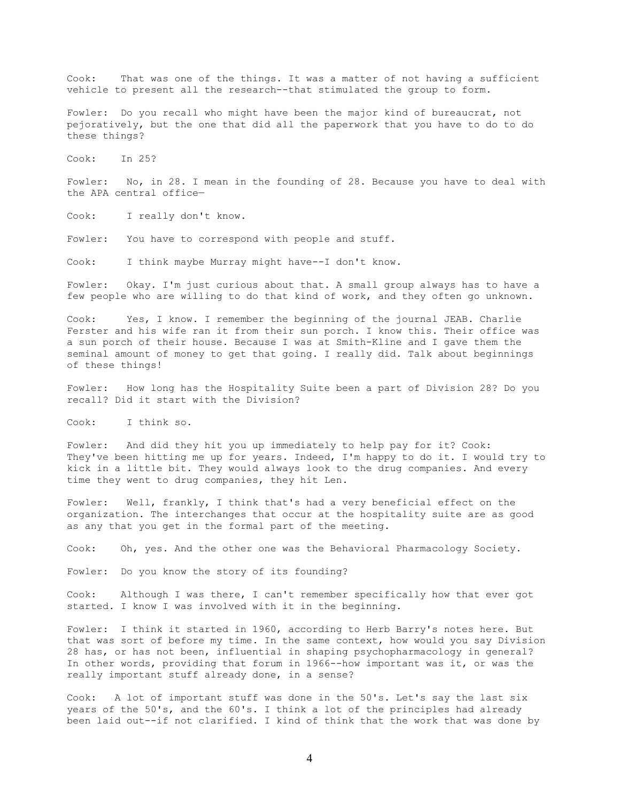Cook: That was one of the things. It was a matter of not having a sufficient vehicle to present all the research--that stimulated the group to form.

Fowler: Do you recall who might have been the major kind of bureaucrat, not pejoratively, but the one that did all the paperwork that you have to do to do these things?

Cook: In 25?

Fowler: No, in 28. I mean in the founding of 28. Because you have to deal with the APA central office—

Cook: I really don't know.

Fowler: You have to correspond with people and stuff.

Cook: I think maybe Murray might have--I don't know.

Fowler: Okay. I'm just curious about that. A small group always has to have a few people who are willing to do that kind of work, and they often go unknown.

Cook: Yes, I know. I remember the beginning of the journal JEAB. Charlie Ferster and his wife ran it from their sun porch. I know this. Their office was a sun porch of their house. Because I was at Smith-Kline and I gave them the seminal amount of money to get that going. I really did. Talk about beginnings of these things!

Fowler: How long has the Hospitality Suite been a part of Division 28? Do you recall? Did it start with the Division?

Cook: I think so.

Fowler: And did they hit you up immediately to help pay for it? Cook: They've been hitting me up for years. Indeed, I'm happy to do it. I would try to kick in a little bit. They would always look to the drug companies. And every time they went to drug companies, they hit Len.

Fowler: Well, frankly, I think that's had a very beneficial effect on the organization. The interchanges that occur at the hospitality suite are as good as any that you get in the formal part of the meeting.

Cook: Oh, yes. And the other one was the Behavioral Pharmacology Society.

Fowler: Do you know the story of its founding?

Cook: Although I was there, I can't remember specifically how that ever got started. I know I was involved with it in the beginning.

Fowler: I think it started in 1960, according to Herb Barry's notes here. But that was sort of before my time. In the same context, how would you say Division 28 has, or has not been, influential in shaping psychopharmacology in general? In other words, providing that forum in 1966--how important was it, or was the really important stuff already done, in a sense?

Cook: A lot of important stuff was done in the 50's. Let's say the last six years of the 50's, and the 60's. I think a lot of the principles had already been laid out--if not clarified. I kind of think that the work that was done by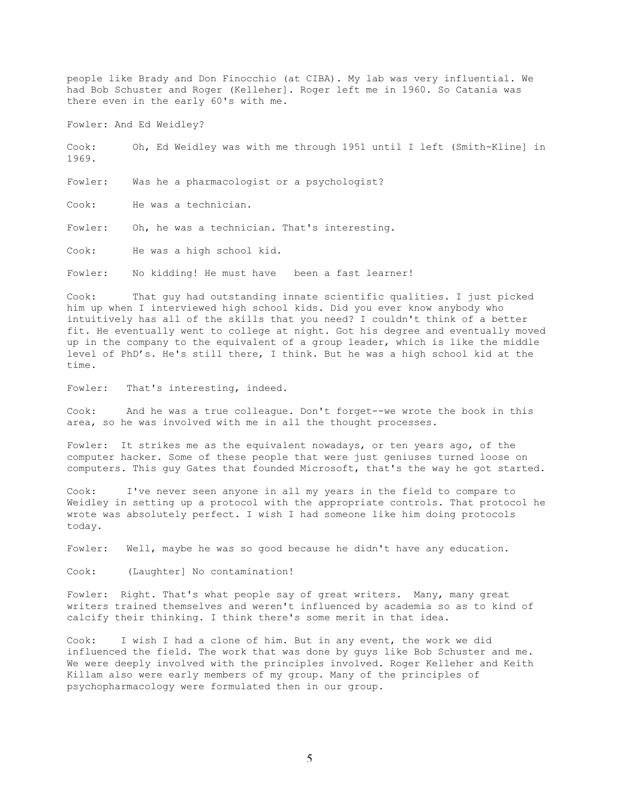people like Brady and Don Finocchio (at CIBA). My lab was very influential. We had Bob Schuster and Roger (Kelleher]. Roger left me in 1960. So Catania was there even in the early 60's with me.

Fowler: And Ed Weidley?

Cook: Oh, Ed Weidley was with me through 1951 until I left (Smith-Kline] in 1969.

Fowler: Was he a pharmacologist or a psychologist?

Cook: He was a technician.

Fowler: Oh, he was a technician. That's interesting.

Cook: He was a high school kid.

Fowler: No kidding! He must have been a fast learner!

Cook: That guy had outstanding innate scientific qualities. I just picked him up when I interviewed high school kids. Did you ever know anybody who intuitively has all of the skills that you need? I couldn't think of a better fit. He eventually went to college at night. Got his degree and eventually moved up in the company to the equivalent of a group leader, which is like the middle level of PhD's. He's still there, I think. But he was a high school kid at the time.

Fowler: That's interesting, indeed.

Cook: And he was a true colleague. Don't forget--we wrote the book in this area, so he was involved with me in all the thought processes.

Fowler: It strikes me as the equivalent nowadays, or ten years ago, of the computer hacker. Some of these people that were just geniuses turned loose on computers. This guy Gates that founded Microsoft, that's the way he got started.

Cook: I've never seen anyone in all my years in the field to compare to Weidley in setting up a protocol with the appropriate controls. That protocol he wrote was absolutely perfect. I wish I had someone like him doing protocols today.

Fowler: Well, maybe he was so good because he didn't have any education.

Cook: (Laughter] No contamination!

Fowler: Right. That's what people say of great writers. Many, many great writers trained themselves and weren't influenced by academia so as to kind of calcify their thinking. I think there's some merit in that idea.

Cook: I wish I had a clone of him. But in any event, the work we did influenced the field. The work that was done by guys like Bob Schuster and me. We were deeply involved with the principles involved. Roger Kelleher and Keith Killam also were early members of my group. Many of the principles of psychopharmacology were formulated then in our group.

5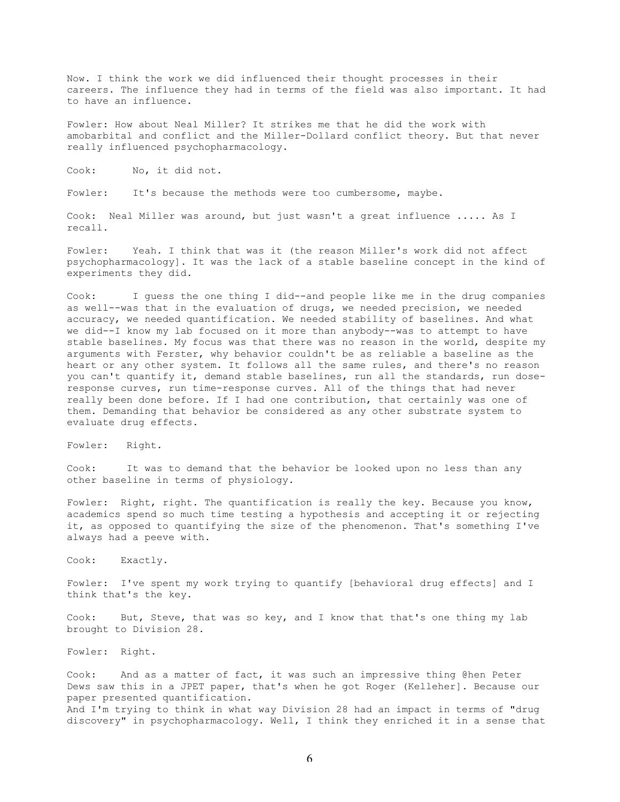Now. I think the work we did influenced their thought processes in their careers. The influence they had in terms of the field was also important. It had to have an influence.

Fowler: How about Neal Miller? It strikes me that he did the work with amobarbital and conflict and the Miller-Dollard conflict theory. But that never really influenced psychopharmacology.

Cook: No, it did not.

Fowler: It's because the methods were too cumbersome, maybe.

Cook: Neal Miller was around, but just wasn't a great influence ..... As I recall.

Fowler: Yeah. I think that was it (the reason Miller's work did not affect psychopharmacology]. It was the lack of a stable baseline concept in the kind of experiments they did.

Cook: I guess the one thing I did--and people like me in the drug companies as well--was that in the evaluation of drugs, we needed precision, we needed accuracy, we needed quantification. We needed stability of baselines. And what we did--I know my lab focused on it more than anybody--was to attempt to have stable baselines. My focus was that there was no reason in the world, despite my arguments with Ferster, why behavior couldn't be as reliable a baseline as the heart or any other system. It follows all the same rules, and there's no reason you can't quantify it, demand stable baselines, run all the standards, run doseresponse curves, run time-response curves. All of the things that had never really been done before. If I had one contribution, that certainly was one of them. Demanding that behavior be considered as any other substrate system to evaluate drug effects.

Fowler: Right.

Cook: It was to demand that the behavior be looked upon no less than any other baseline in terms of physiology.

Fowler: Right, right. The quantification is really the key. Because you know, academics spend so much time testing a hypothesis and accepting it or rejecting it, as opposed to quantifying the size of the phenomenon. That's something I've always had a peeve with.

Cook: Exactly.

Fowler: I've spent my work trying to quantify [behavioral drug effects] and I think that's the key.

Cook: But, Steve, that was so key, and I know that that's one thing my lab brought to Division 28.

Fowler: Right.

Cook: And as a matter of fact, it was such an impressive thing @hen Peter Dews saw this in a JPET paper, that's when he got Roger (Kelleher]. Because our paper presented quantification. And I'm trying to think in what way Division 28 had an impact in terms of "drug discovery" in psychopharmacology. Well, I think they enriched it in a sense that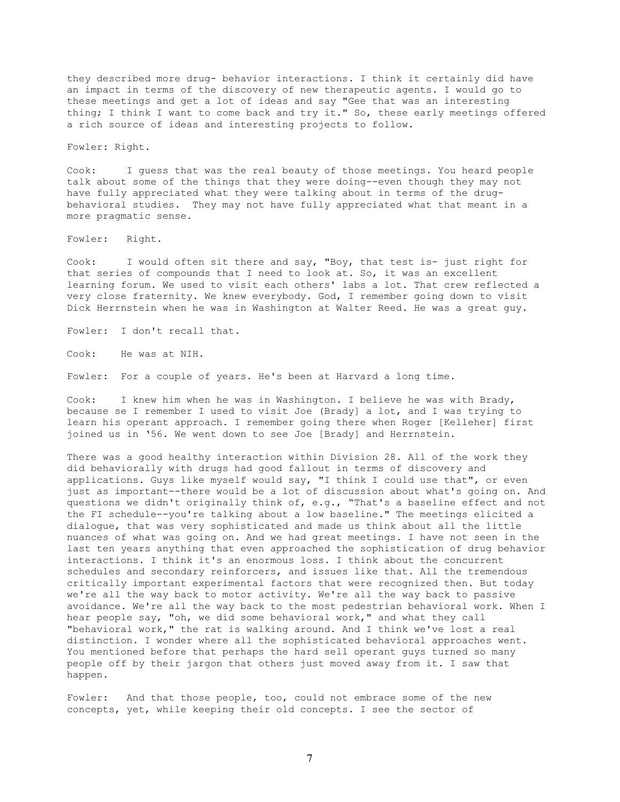they described more drug- behavior interactions. I think it certainly did have an impact in terms of the discovery of new therapeutic agents. I would go to these meetings and get a lot of ideas and say "Gee that was an interesting thing; I think I want to come back and try it." So, these early meetings offered a rich source of ideas and interesting projects to follow.

Fowler: Right.

Cook: I guess that was the real beauty of those meetings. You heard people talk about some of the things that they were doing--even though they may not have fully appreciated what they were talking about in terms of the drugbehavioral studies. They may not have fully appreciated what that meant in a more pragmatic sense.

Fowler: Right.

Cook: I would often sit there and say, "Boy, that test is- just right for that series of compounds that I need to look at. So, it was an excellent learning forum. We used to visit each others' labs a lot. That crew reflected a very close fraternity. We knew everybody. God, I remember going down to visit Dick Herrnstein when he was in Washington at Walter Reed. He was a great guy.

Fowler: I don't recall that.

Cook: He was at NIH.

Fowler: For a couple of years. He's been at Harvard a long time.

Cook: I knew him when he was in Washington. I believe he was with Brady, because se I remember I used to visit Joe (Brady] a lot, and I was trying to learn his operant approach. I remember going there when Roger [Kelleher] first joined us in '56. We went down to see Joe [Brady] and Herrnstein.

There was a good healthy interaction within Division 28. All of the work they did behaviorally with drugs had good fallout in terms of discovery and applications. Guys like myself would say, "I think I could use that", or even just as important--there would be a lot of discussion about what's going on. And questions we didn't originally think of, e.g., "That's a baseline effect and not the FI schedule--you're talking about a low baseline." The meetings elicited a dialogue, that was very sophisticated and made us think about all the little nuances of what was going on. And we had great meetings. I have not seen in the last ten years anything that even approached the sophistication of drug behavior interactions. I think it's an enormous loss. I think about the concurrent schedules and secondary reinforcers, and issues like that. All the tremendous critically important experimental factors that were recognized then. But today we're all the way back to motor activity. We're all the way back to passive avoidance. We're all the way back to the most pedestrian behavioral work. When I hear people say, "oh, we did some behavioral work," and what they call "behavioral work," the rat is walking around. And I think we've lost a real distinction. I wonder where all the sophisticated behavioral approaches went. You mentioned before that perhaps the hard sell operant guys turned so many people off by their jargon that others just moved away from it. I saw that happen.

Fowler: And that those people, too, could not embrace some of the new concepts, yet, while keeping their old concepts. I see the sector of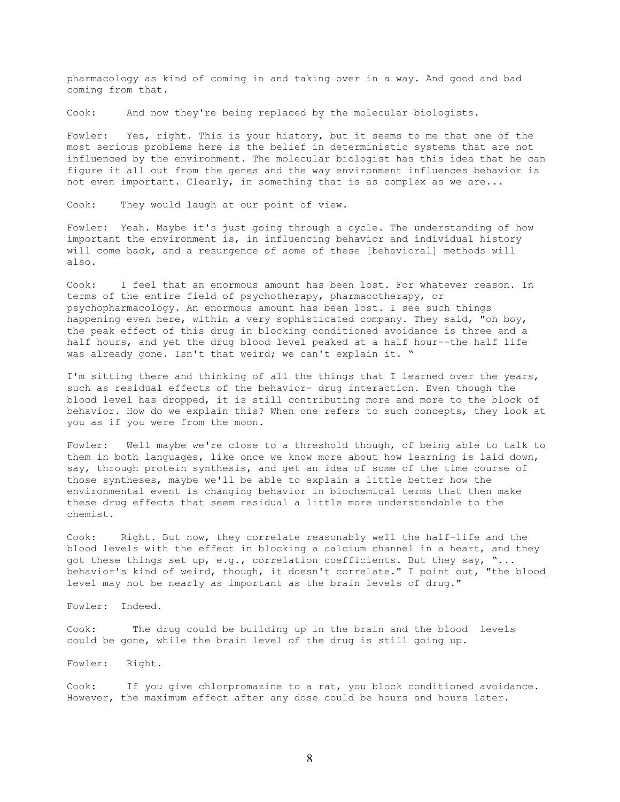pharmacology as kind of coming in and taking over in a way. And good and bad coming from that.

Cook: And now they're being replaced by the molecular biologists.

Fowler: Yes, right. This is your history, but it seems to me that one of the most serious problems here is the belief in deterministic systems that are not influenced by the environment. The molecular biologist has this idea that he can figure it all out from the genes and the way environment influences behavior is not even important. Clearly, in something that is as complex as we are...

Cook: They would laugh at our point of view.

Fowler: Yeah. Maybe it's just going through a cycle. The understanding of how important the environment is, in influencing behavior and individual history will come back, and a resurgence of some of these [behavioral] methods will also.

Cook: I feel that an enormous amount has been lost. For whatever reason. In terms of the entire field of psychotherapy, pharmacotherapy, or psychopharmacology. An enormous amount has been lost. I see such things happening even here, within a very sophisticated company. They said, "oh boy, the peak effect of this drug in blocking conditioned avoidance is three and a half hours, and yet the drug blood level peaked at a half hour--the half life was already gone. Isn't that weird; we can't explain it. "

I'm sitting there and thinking of all the things that I learned over the years, such as residual effects of the behavior- drug interaction. Even though the blood level has dropped, it is still contributing more and more to the block of behavior. How do we explain this? When one refers to such concepts, they look at you as if you were from the moon.

Fowler: Well maybe we're close to a threshold though, of being able to talk to them in both languages, like once we know more about how learning is laid down, say, through protein synthesis, and get an idea of some of the time course of those syntheses, maybe we'll be able to explain a little better how the environmental event is changing behavior in biochemical terms that then make these drug effects that seem residual a little more understandable to the chemist.

Cook: Right. But now, they correlate reasonably well the half-life and the blood levels with the effect in blocking a calcium channel in a heart, and they got these things set up, e.g., correlation coefficients. But they say, "... behavior's kind of weird, though, it doesn't correlate." I point out, "the blood level may not be nearly as important as the brain levels of drug."

Fowler: Indeed.

Cook: The drug could be building up in the brain and the blood levels could be gone, while the brain level of the drug is still going up.

Fowler: Right.

Cook: If you give chlorpromazine to a rat, you block conditioned avoidance. However, the maximum effect after any dose could be hours and hours later.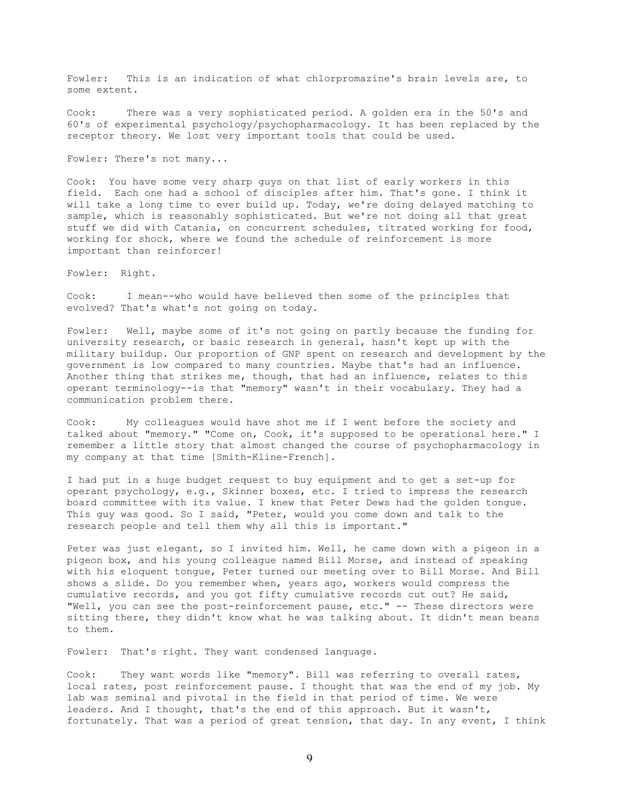Fowler: This is an indication of what chlorpromazine's brain levels are, to some extent.

Cook: There was a very sophisticated period. A golden era in the 50's and 60's of experimental psychology/psychopharmacology. It has been replaced by the receptor theory. We lost very important tools that could be used.

Fowler: There's not many...

Cook: You have some very sharp guys on that list of early workers in this field. Each one had a school of disciples after him. That's gone. I think it will take a long time to ever build up. Today, we're doing delayed matching to sample, which is reasonably sophisticated. But we're not doing all that great stuff we did with Catania, on concurrent schedules, titrated working for food, working for shock, where we found the schedule of reinforcement is more important than reinforcer!

Fowler: Right.

Cook: I mean--who would have believed then some of the principles that evolved? That's what's not going on today.

Fowler: Well, maybe some of it's not going on partly because the funding for university research, or basic research in general, hasn't kept up with the military buildup. Our proportion of GNP spent on research and development by the government is low compared to many countries. Maybe that's had an influence. Another thing that strikes me, though, that had an influence, relates to this operant terminology--is that "memory" wasn't in their vocabulary. They had a communication problem there.

Cook: My colleagues would have shot me if I went before the society and talked about "memory." "Come on, Cook, it's supposed to be operational here." I remember a little story that almost changed the course of psychopharmacology in my company at that time [Smith-Kline-French].

I had put in a huge budget request to buy equipment and to get a set-up for operant psychology, e.g., Skinner boxes, etc. I tried to impress the research board committee with its value. I knew that Peter Dews had the golden tongue. This guy was good. So I said, "Peter, would you come down and talk to the research people and tell them why all this is important."

Peter was just elegant, so I invited him. Well, he came down with a pigeon in a pigeon box, and his young colleague named Bill Morse, and instead of speaking with his eloquent tongue, Peter turned our meeting over to Bill Morse. And Bill shows a slide. Do you remember when, years ago, workers would compress the cumulative records, and you got fifty cumulative records cut out? He said, "Well, you can see the post-reinforcement pause, etc." -- These directors were sitting there, they didn't know what he was talking about. It didn't mean beans to them.

Fowler: That's right. They want condensed language.

Cook: They want words like "memory". Bill was referring to overall rates, local rates, post reinforcement pause. I thought that was the end of my job. My lab was seminal and pivotal in the field in that period of time. We were leaders. And I thought, that's the end of this approach. But it wasn't, fortunately. That was a period of great tension, that day. In any event, I think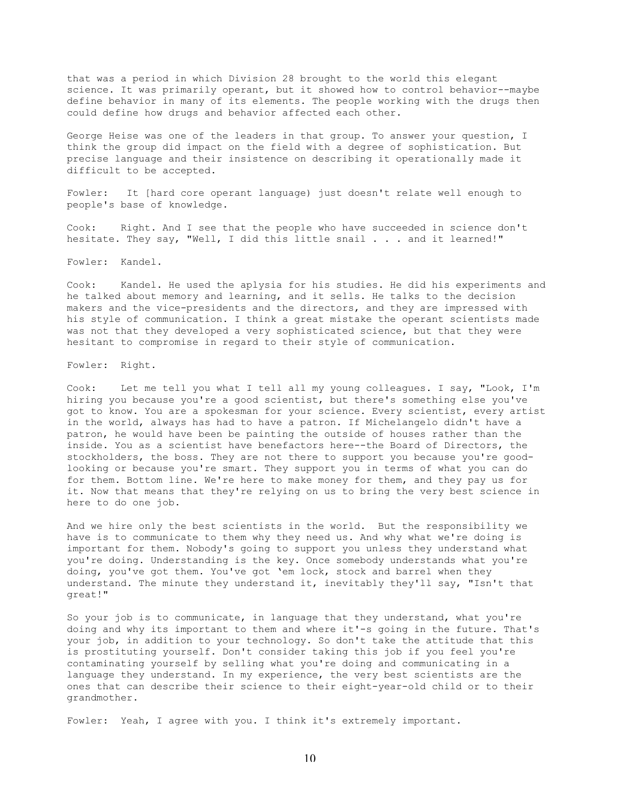that was a period in which Division 28 brought to the world this elegant science. It was primarily operant, but it showed how to control behavior--maybe define behavior in many of its elements. The people working with the drugs then could define how drugs and behavior affected each other.

George Heise was one of the leaders in that group. To answer your question, I think the group did impact on the field with a degree of sophistication. But precise language and their insistence on describing it operationally made it difficult to be accepted.

Fowler: It [hard core operant language) just doesn't relate well enough to people's base of knowledge.

Cook: Right. And I see that the people who have succeeded in science don't hesitate. They say, "Well, I did this little snail . . . and it learned!"

Fowler: Kandel.

Cook: Kandel. He used the aplysia for his studies. He did his experiments and he talked about memory and learning, and it sells. He talks to the decision makers and the vice-presidents and the directors, and they are impressed with his style of communication. I think a great mistake the operant scientists made was not that they developed a very sophisticated science, but that they were hesitant to compromise in regard to their style of communication.

Fowler: Right.

Cook: Let me tell you what I tell all my young colleagues. I say, "Look, I'm hiring you because you're a good scientist, but there's something else you've got to know. You are a spokesman for your science. Every scientist, every artist in the world, always has had to have a patron. If Michelangelo didn't have a patron, he would have been be painting the outside of houses rather than the inside. You as a scientist have benefactors here--the Board of Directors, the stockholders, the boss. They are not there to support you because you're goodlooking or because you're smart. They support you in terms of what you can do for them. Bottom line. We're here to make money for them, and they pay us for it. Now that means that they're relying on us to bring the very best science in here to do one job.

And we hire only the best scientists in the world. But the responsibility we have is to communicate to them why they need us. And why what we're doing is important for them. Nobody's going to support you unless they understand what you're doing. Understanding is the key. Once somebody understands what you're doing, you've got them. You've got 'em lock, stock and barrel when they understand. The minute they understand it, inevitably they'll say, "Isn't that great!"

So your job is to communicate, in language that they understand, what you're doing and why its important to them and where it'-s going in the future. That's your job, in addition to your technology. So don't take the attitude that this is prostituting yourself. Don't consider taking this job if you feel you're contaminating yourself by selling what you're doing and communicating in a language they understand. In my experience, the very best scientists are the ones that can describe their science to their eight-year-old child or to their grandmother.

Fowler: Yeah, I agree with you. I think it's extremely important.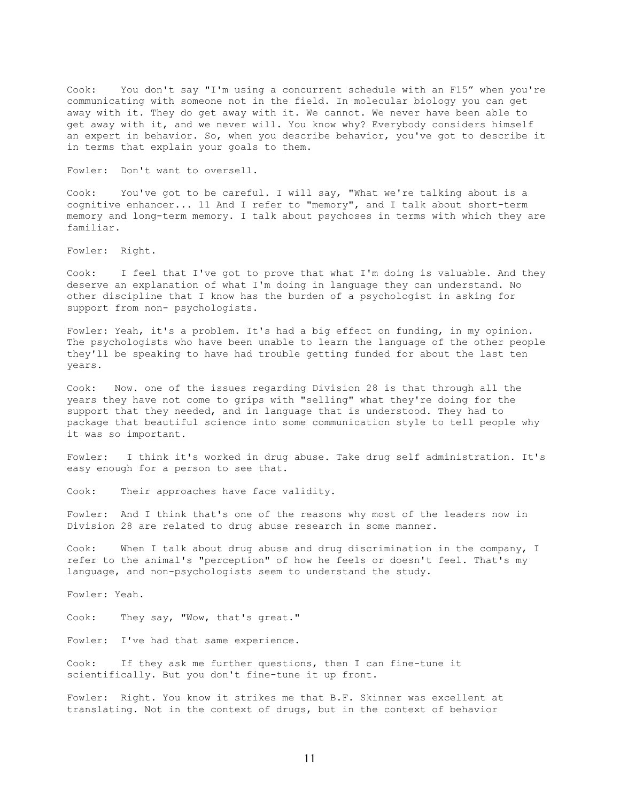Cook: You don't say "I'm using a concurrent schedule with an F15" when you're communicating with someone not in the field. In molecular biology you can get away with it. They do get away with it. We cannot. We never have been able to get away with it, and we never will. You know why? Everybody considers himself an expert in behavior. So, when you describe behavior, you've got to describe it in terms that explain your goals to them.

Fowler: Don't want to oversell.

Cook: You've got to be careful. I will say, "What we're talking about is a cognitive enhancer... 11 And I refer to "memory", and I talk about short-term memory and long-term memory. I talk about psychoses in terms with which they are familiar.

Fowler: Right.

Cook: I feel that I've got to prove that what I'm doing is valuable. And they deserve an explanation of what I'm doing in language they can understand. No other discipline that I know has the burden of a psychologist in asking for support from non- psychologists.

Fowler: Yeah, it's a problem. It's had a big effect on funding, in my opinion. The psychologists who have been unable to learn the language of the other people they'll be speaking to have had trouble getting funded for about the last ten years.

Cook: Now. one of the issues regarding Division 28 is that through all the years they have not come to grips with "selling" what they're doing for the support that they needed, and in language that is understood. They had to package that beautiful science into some communication style to tell people why it was so important.

Fowler: I think it's worked in drug abuse. Take drug self administration. It's easy enough for a person to see that.

Cook: Their approaches have face validity.

Fowler: And I think that's one of the reasons why most of the leaders now in Division 28 are related to drug abuse research in some manner.

Cook: When I talk about drug abuse and drug discrimination in the company, I refer to the animal's "perception" of how he feels or doesn't feel. That's my language, and non-psychologists seem to understand the study.

Fowler: Yeah.

Cook: They say, "Wow, that's great."

Fowler: I've had that same experience.

Cook: If they ask me further questions, then I can fine-tune it scientifically. But you don't fine-tune it up front.

Fowler: Right. You know it strikes me that B.F. Skinner was excellent at translating. Not in the context of drugs, but in the context of behavior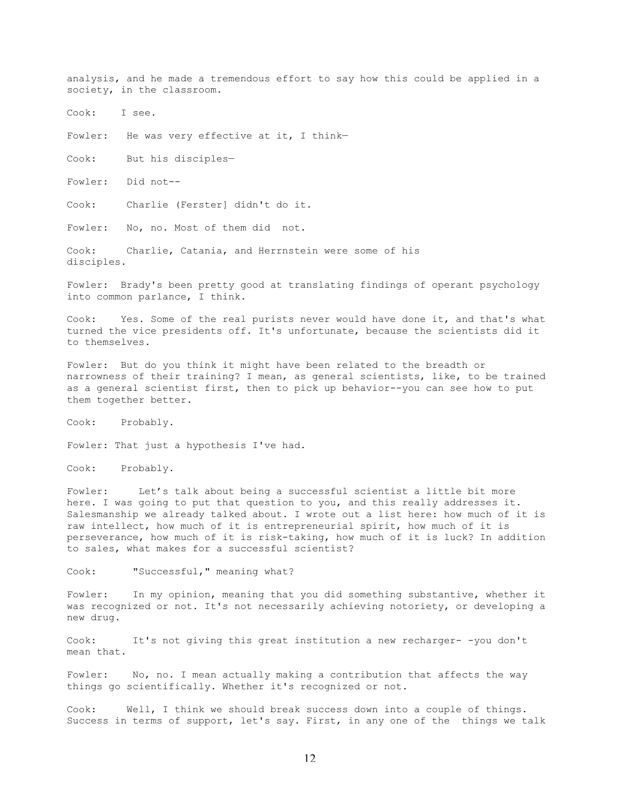analysis, and he made a tremendous effort to say how this could be applied in a society, in the classroom.

Cook: I see.

Fowler: He was very effective at it, I think-

Cook: But his disciples—

Fowler: Did not--

Cook: Charlie (Ferster] didn't do it.

Fowler: No, no. Most of them did not.

Cook: Charlie, Catania, and Herrnstein were some of his disciples.

Fowler: Brady's been pretty good at translating findings of operant psychology into common parlance, I think.

Cook: Yes. Some of the real purists never would have done it, and that's what turned the vice presidents off. It's unfortunate, because the scientists did it to themselves.

Fowler: But do you think it might have been related to the breadth or narrowness of their training? I mean, as general scientists, like, to be trained as a general scientist first, then to pick up behavior--you can see how to put them together better.

Cook: Probably.

Fowler: That just a hypothesis I've had.

Cook: Probably.

Fowler: Let's talk about being a successful scientist a little bit more here. I was going to put that question to you, and this really addresses it. Salesmanship we already talked about. I wrote out a list here: how much of it is raw intellect, how much of it is entrepreneurial spirit, how much of it is perseverance, how much of it is risk-taking, how much of it is luck? In addition to sales, what makes for a successful scientist?

Cook: "Successful," meaning what?

Fowler: In my opinion, meaning that you did something substantive, whether it was recognized or not. It's not necessarily achieving notoriety, or developing a new drug.

Cook: It's not giving this great institution a new recharger- -you don't mean that.

Fowler: No, no. I mean actually making a contribution that affects the way things go scientifically. Whether it's recognized or not.

Cook: Well, I think we should break success down into a couple of things. Success in terms of support, let's say. First, in any one of the things we talk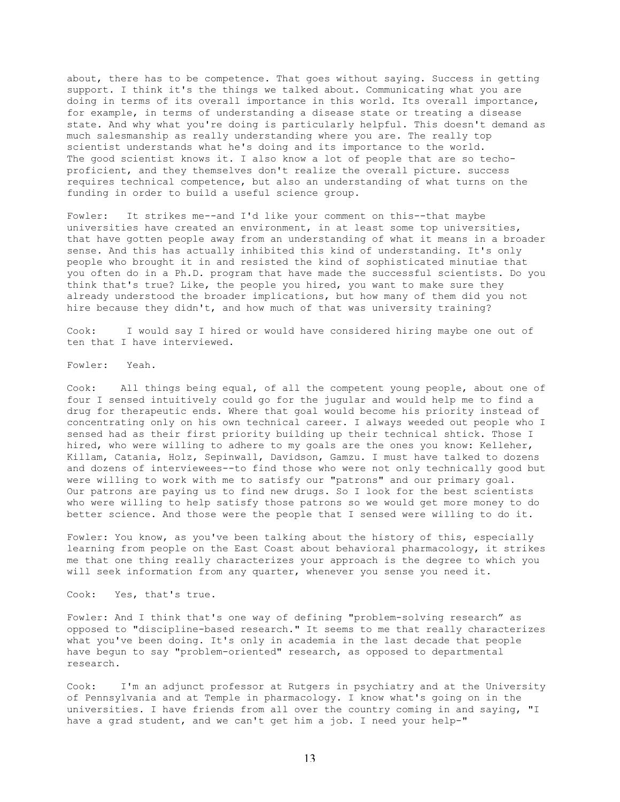about, there has to be competence. That goes without saying. Success in getting support. I think it's the things we talked about. Communicating what you are doing in terms of its overall importance in this world. Its overall importance, for example, in terms of understanding a disease state or treating a disease state. And why what you're doing is particularly helpful. This doesn't demand as much salesmanship as really understanding where you are. The really top scientist understands what he's doing and its importance to the world. The good scientist knows it. I also know a lot of people that are so techoproficient, and they themselves don't realize the overall picture. success requires technical competence, but also an understanding of what turns on the funding in order to build a useful science group.

Fowler: It strikes me--and I'd like your comment on this--that maybe universities have created an environment, in at least some top universities, that have gotten people away from an understanding of what it means in a broader sense. And this has actually inhibited this kind of understanding. It's only people who brought it in and resisted the kind of sophisticated minutiae that you often do in a Ph.D. program that have made the successful scientists. Do you think that's true? Like, the people you hired, you want to make sure they already understood the broader implications, but how many of them did you not hire because they didn't, and how much of that was university training?

Cook: I would say I hired or would have considered hiring maybe one out of ten that I have interviewed.

Fowler: Yeah.

Cook: All things being equal, of all the competent young people, about one of four I sensed intuitively could go for the jugular and would help me to find a drug for therapeutic ends. Where that goal would become his priority instead of concentrating only on his own technical career. I always weeded out people who I sensed had as their first priority building up their technical shtick. Those I hired, who were willing to adhere to my goals are the ones you know: Kelleher, Killam, Catania, Holz, Sepinwall, Davidson, Gamzu. I must have talked to dozens and dozens of interviewees--to find those who were not only technically good but were willing to work with me to satisfy our "patrons" and our primary goal. Our patrons are paying us to find new drugs. So I look for the best scientists who were willing to help satisfy those patrons so we would get more money to do better science. And those were the people that I sensed were willing to do it.

Fowler: You know, as you've been talking about the history of this, especially learning from people on the East Coast about behavioral pharmacology, it strikes me that one thing really characterizes your approach is the degree to which you will seek information from any quarter, whenever you sense you need it.

Cook: Yes, that's true.

Fowler: And I think that's one way of defining "problem-solving research" as opposed to "discipline-based research." It seems to me that really characterizes what you've been doing. It's only in academia in the last decade that people have begun to say "problem-oriented" research, as opposed to departmental research.

Cook: I'm an adjunct professor at Rutgers in psychiatry and at the University of Pennsylvania and at Temple in pharmacology. I know what's going on in the universities. I have friends from all over the country coming in and saying, "I have a grad student, and we can't get him a job. I need your help-"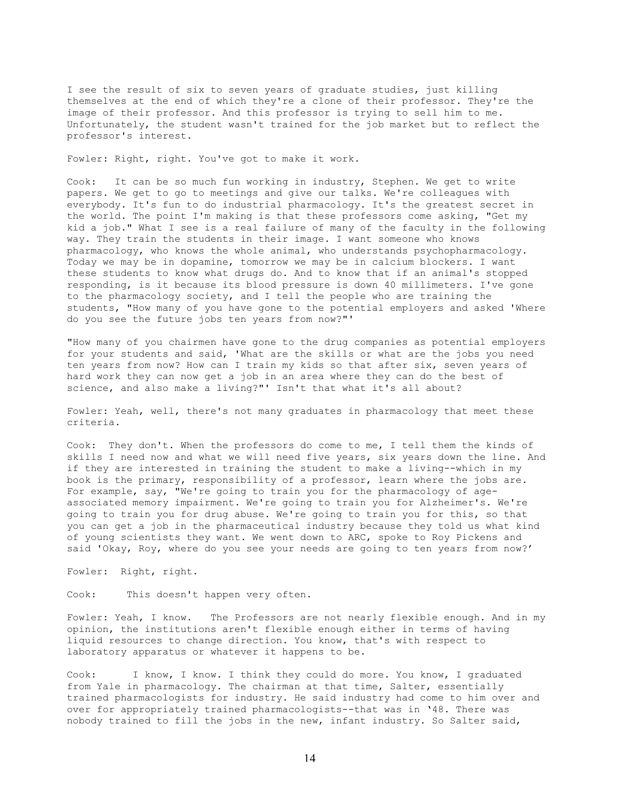I see the result of six to seven years of graduate studies, just killing themselves at the end of which they're a clone of their professor. They're the image of their professor. And this professor is trying to sell him to me. Unfortunately, the student wasn't trained for the job market but to reflect the professor's interest.

Fowler: Right, right. You've got to make it work.

Cook: It can be so much fun working in industry, Stephen. We get to write papers. We get to go to meetings and give our talks. We're colleagues with everybody. It's fun to do industrial pharmacology. It's the greatest secret in the world. The point I'm making is that these professors come asking, "Get my kid a job." What I see is a real failure of many of the faculty in the following way. They train the students in their image. I want someone who knows pharmacology, who knows the whole animal, who understands psychopharmacology. Today we may be in dopamine, tomorrow we may be in calcium blockers. I want these students to know what drugs do. And to know that if an animal's stopped responding, is it because its blood pressure is down 40 millimeters. I've gone to the pharmacology society, and I tell the people who are training the students, "How many of you have gone to the potential employers and asked 'Where do you see the future jobs ten years from now?"'

"How many of you chairmen have gone to the drug companies as potential employers for your students and said, 'What are the skills or what are the jobs you need ten years from now? How can I train my kids so that after six, seven years of hard work they can now get a job in an area where they can do the best of science, and also make a living?"' Isn't that what it's all about?

Fowler: Yeah, well, there's not many graduates in pharmacology that meet these criteria.

Cook: They don't. When the professors do come to me, I tell them the kinds of skills I need now and what we will need five years, six years down the line. And if they are interested in training the student to make a living--which in my book is the primary, responsibility of a professor, learn where the jobs are. For example, say, "We're going to train you for the pharmacology of ageassociated memory impairment. We're going to train you for Alzheimer's. We're going to train you for drug abuse. We're going to train you for this, so that you can get a job in the pharmaceutical industry because they told us what kind of young scientists they want. We went down to ARC, spoke to Roy Pickens and said 'Okay, Roy, where do you see your needs are going to ten years from now?'

Fowler: Right, right.

Cook: This doesn't happen very often.

Fowler: Yeah, I know. The Professors are not nearly flexible enough. And in my opinion, the institutions aren't flexible enough either in terms of having liquid resources to change direction. You know, that's with respect to laboratory apparatus or whatever it happens to be.

Cook: I know, I know. I think they could do more. You know, I graduated from Yale in pharmacology. The chairman at that time, Salter, essentially trained pharmacologists for industry. He said industry had come to him over and over for appropriately trained pharmacologists--that was in '48. There was nobody trained to fill the jobs in the new, infant industry. So Salter said,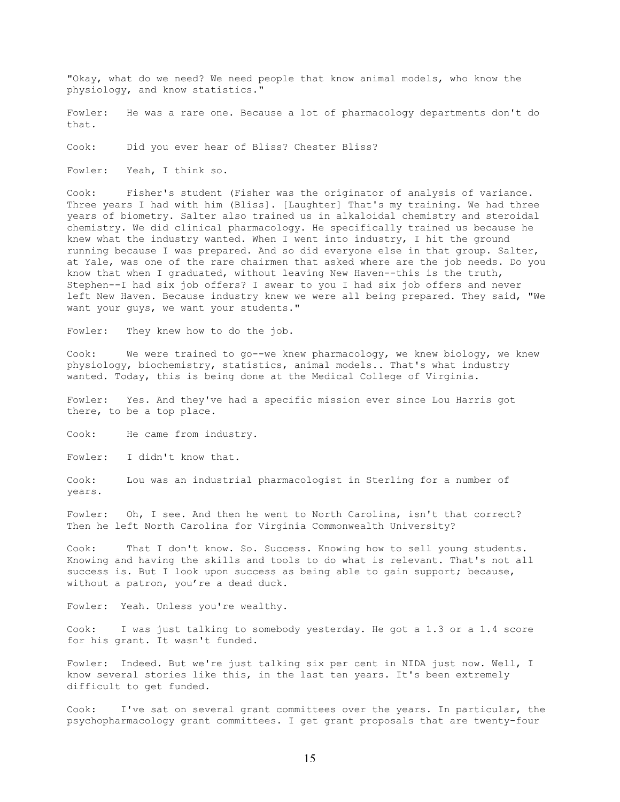"Okay, what do we need? We need people that know animal models, who know the physiology, and know statistics."

Fowler: He was a rare one. Because a lot of pharmacology departments don't do that.

Cook: Did you ever hear of Bliss? Chester Bliss?

Fowler: Yeah, I think so.

Cook: Fisher's student (Fisher was the originator of analysis of variance. Three years I had with him (Bliss]. [Laughter] That's my training. We had three years of biometry. Salter also trained us in alkaloidal chemistry and steroidal chemistry. We did clinical pharmacology. He specifically trained us because he knew what the industry wanted. When I went into industry, I hit the ground running because I was prepared. And so did everyone else in that group. Salter, at Yale, was one of the rare chairmen that asked where are the job needs. Do you know that when I graduated, without leaving New Haven--this is the truth, Stephen--I had six job offers? I swear to you I had six job offers and never left New Haven. Because industry knew we were all being prepared. They said, "We want your guys, we want your students."

Fowler: They knew how to do the job.

Cook: We were trained to go--we knew pharmacology, we knew biology, we knew physiology, biochemistry, statistics, animal models.. That's what industry wanted. Today, this is being done at the Medical College of Virginia.

Fowler: Yes. And they've had a specific mission ever since Lou Harris got there, to be a top place.

Cook: He came from industry.

Fowler: I didn't know that.

Cook: Lou was an industrial pharmacologist in Sterling for a number of years.

Fowler: Oh, I see. And then he went to North Carolina, isn't that correct? Then he left North Carolina for Virginia Commonwealth University?

Cook: That I don't know. So. Success. Knowing how to sell young students. Knowing and having the skills and tools to do what is relevant. That's not all success is. But I look upon success as being able to gain support; because, without a patron, you're a dead duck.

Fowler: Yeah. Unless you're wealthy.

Cook: I was just talking to somebody yesterday. He got a 1.3 or a 1.4 score for his grant. It wasn't funded.

Fowler: Indeed. But we're just talking six per cent in NIDA just now. Well, I know several stories like this, in the last ten years. It's been extremely difficult to get funded.

Cook: I've sat on several grant committees over the years. In particular, the psychopharmacology grant committees. I get grant proposals that are twenty-four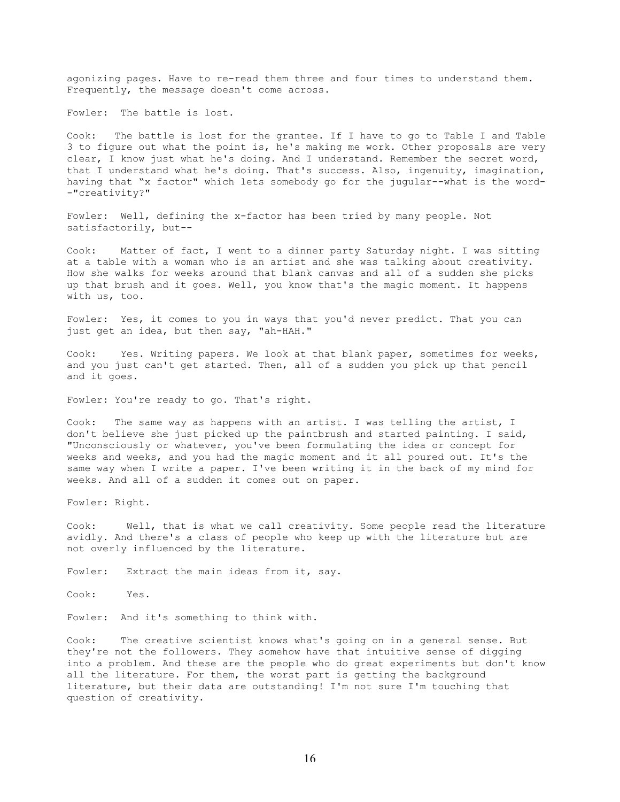agonizing pages. Have to re-read them three and four times to understand them. Frequently, the message doesn't come across.

Fowler: The battle is lost.

Cook: The battle is lost for the grantee. If I have to go to Table I and Table 3 to figure out what the point is, he's making me work. Other proposals are very clear, I know just what he's doing. And I understand. Remember the secret word, that I understand what he's doing. That's success. Also, ingenuity, imagination, having that "x factor" which lets somebody go for the jugular--what is the word- -"creativity?"

Fowler: Well, defining the x-factor has been tried by many people. Not satisfactorily, but--

Cook: Matter of fact, I went to a dinner party Saturday night. I was sitting at a table with a woman who is an artist and she was talking about creativity. How she walks for weeks around that blank canvas and all of a sudden she picks up that brush and it goes. Well, you know that's the magic moment. It happens with us, too.

Fowler: Yes, it comes to you in ways that you'd never predict. That you can just get an idea, but then say, "ah-HAH."

Cook: Yes. Writing papers. We look at that blank paper, sometimes for weeks, and you just can't get started. Then, all of a sudden you pick up that pencil and it goes.

Fowler: You're ready to go. That's right.

Cook: The same way as happens with an artist. I was telling the artist, I don't believe she just picked up the paintbrush and started painting. I said, "Unconsciously or whatever, you've been formulating the idea or concept for weeks and weeks, and you had the magic moment and it all poured out. It's the same way when I write a paper. I've been writing it in the back of my mind for weeks. And all of a sudden it comes out on paper.

Fowler: Right.

Cook: Well, that is what we call creativity. Some people read the literature avidly. And there's a class of people who keep up with the literature but are not overly influenced by the literature.

Fowler: Extract the main ideas from it, say.

Cook: Yes.

Fowler: And it's something to think with.

Cook: The creative scientist knows what's going on in a general sense. But they're not the followers. They somehow have that intuitive sense of digging into a problem. And these are the people who do great experiments but don't know all the literature. For them, the worst part is getting the background literature, but their data are outstanding! I'm not sure I'm touching that question of creativity.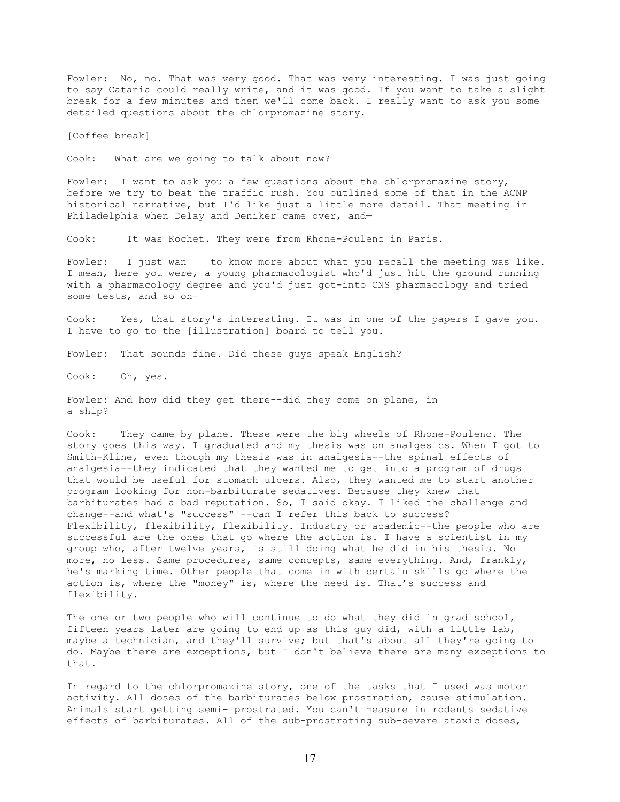Fowler: No, no. That was very good. That was very interesting. I was just going to say Catania could really write, and it was good. If you want to take a slight break for a few minutes and then we'll come back. I really want to ask you some detailed questions about the chlorpromazine story.

[Coffee break]

Cook: What are we going to talk about now?

Fowler: I want to ask you a few questions about the chlorpromazine story, before we try to beat the traffic rush. You outlined some of that in the ACNP historical narrative, but I'd like just a little more detail. That meeting in Philadelphia when Delay and Deniker came over, and—

Cook: It was Kochet. They were from Rhone-Poulenc in Paris.

Fowler: I just wan to know more about what you recall the meeting was like. I mean, here you were, a young pharmacologist who'd just hit the ground running with a pharmacology degree and you'd just got-into CNS pharmacology and tried some tests, and so on—

Cook: Yes, that story's interesting. It was in one of the papers I gave you. I have to go to the [illustration] board to tell you.

Fowler: That sounds fine. Did these guys speak English?

Cook: Oh, yes.

Fowler: And how did they get there--did they come on plane, in a ship?

Cook: They came by plane. These were the big wheels of Rhone-Poulenc. The story goes this way. I graduated and my thesis was on analgesics. When I got to Smith-Kline, even though my thesis was in analgesia--the spinal effects of analgesia--they indicated that they wanted me to get into a program of drugs that would be useful for stomach ulcers. Also, they wanted me to start another program looking for non-barbiturate sedatives. Because they knew that barbiturates had a bad reputation. So, I said okay. I liked the challenge and change--and what's "success" --can I refer this back to success? Flexibility, flexibility, flexibility. Industry or academic--the people who are successful are the ones that go where the action is. I have a scientist in my group who, after twelve years, is still doing what he did in his thesis. No more, no less. Same procedures, same concepts, same everything. And, frankly, he's marking time. Other people that come in with certain skills go where the action is, where the "money" is, where the need is. That's success and flexibility.

The one or two people who will continue to do what they did in grad school, fifteen years later are going to end up as this guy did, with a little lab, maybe a technician, and they'll survive; but that's about all they're going to do. Maybe there are exceptions, but I don't believe there are many exceptions to that.

In regard to the chlorpromazine story, one of the tasks that I used was motor activity. All doses of the barbiturates below prostration, cause stimulation. Animals start getting semi- prostrated. You can't measure in rodents sedative effects of barbiturates. All of the sub-prostrating sub-severe ataxic doses,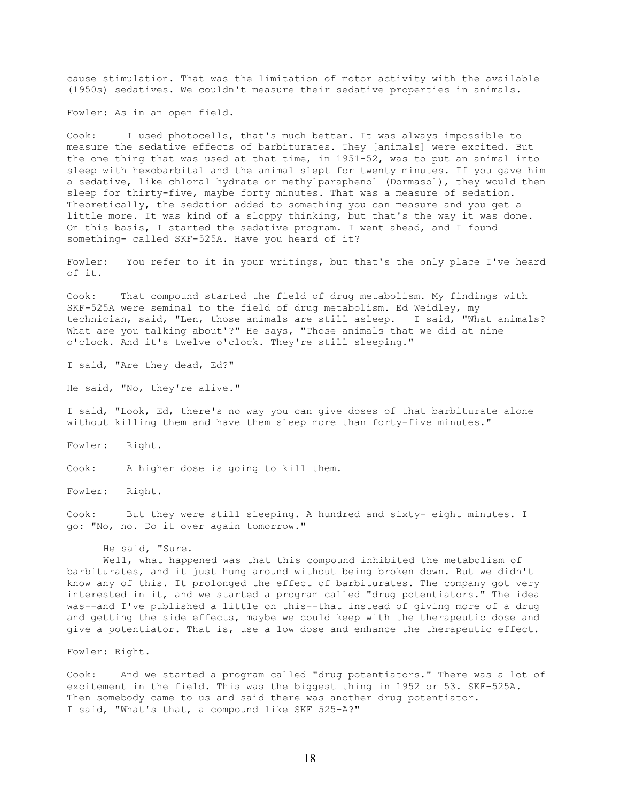cause stimulation. That was the limitation of motor activity with the available (1950s) sedatives. We couldn't measure their sedative properties in animals.

Fowler: As in an open field.

Cook: I used photocells, that's much better. It was always impossible to measure the sedative effects of barbiturates. They [animals] were excited. But the one thing that was used at that time, in 1951-52, was to put an animal into sleep with hexobarbital and the animal slept for twenty minutes. If you gave him a sedative, like chloral hydrate or methylparaphenol (Dormasol), they would then sleep for thirty-five, maybe forty minutes. That was a measure of sedation. Theoretically, the sedation added to something you can measure and you get a little more. It was kind of a sloppy thinking, but that's the way it was done. On this basis, I started the sedative program. I went ahead, and I found something- called SKF-525A. Have you heard of it?

Fowler: You refer to it in your writings, but that's the only place I've heard of it.

Cook: That compound started the field of drug metabolism. My findings with SKF-525A were seminal to the field of drug metabolism. Ed Weidley, my technician, said, "Len, those animals are still asleep. I said, "What animals? What are you talking about'?" He says, "Those animals that we did at nine o'clock. And it's twelve o'clock. They're still sleeping."

I said, "Are they dead, Ed?"

He said, "No, they're alive."

I said, "Look, Ed, there's no way you can give doses of that barbiturate alone without killing them and have them sleep more than forty-five minutes."

Fowler: Right.

Cook: A higher dose is going to kill them.

Fowler: Right.

Cook: But they were still sleeping. A hundred and sixty- eight minutes. I go: "No, no. Do it over again tomorrow."

## He said, "Sure.

Well, what happened was that this compound inhibited the metabolism of barbiturates, and it just hung around without being broken down. But we didn't know any of this. It prolonged the effect of barbiturates. The company got very interested in it, and we started a program called "drug potentiators." The idea was--and I've published a little on this--that instead of giving more of a drug and getting the side effects, maybe we could keep with the therapeutic dose and give a potentiator. That is, use a low dose and enhance the therapeutic effect.

Fowler: Right.

Cook: And we started a program called "drug potentiators." There was a lot of excitement in the field. This was the biggest thing in 1952 or 53. SKF-525A. Then somebody came to us and said there was another drug potentiator. I said, "What's that, a compound like SKF 525-A?"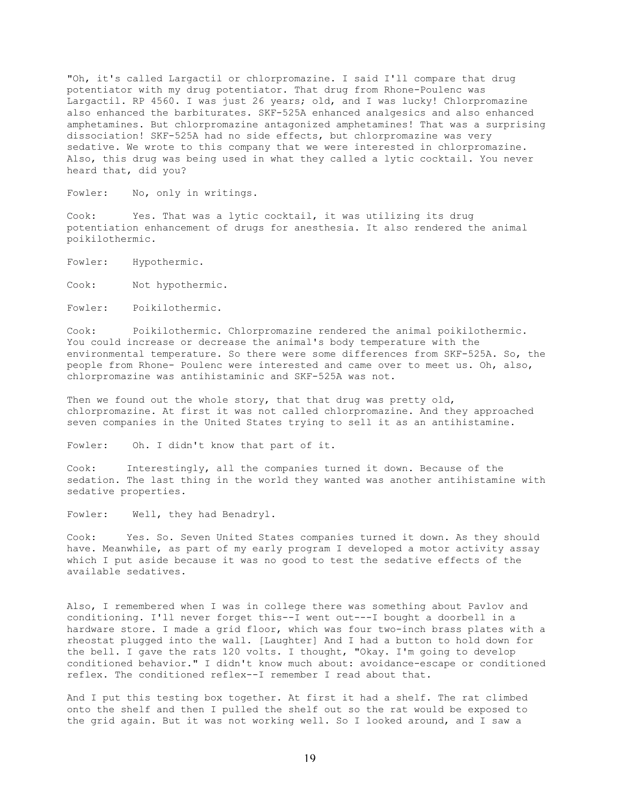"Oh, it's called Largactil or chlorpromazine. I said I'll compare that drug potentiator with my drug potentiator. That drug from Rhone-Poulenc was Largactil. RP 4560. I was just 26 years; old, and I was lucky! Chlorpromazine also enhanced the barbiturates. SKF-525A enhanced analgesics and also enhanced amphetamines. But chlorpromazine antagonized amphetamines! That was a surprising dissociation! SKF-525A had no side effects, but chlorpromazine was very sedative. We wrote to this company that we were interested in chlorpromazine. Also, this drug was being used in what they called a lytic cocktail. You never heard that, did you?

Fowler: No, only in writings.

Cook: Yes. That was a lytic cocktail, it was utilizing its drug potentiation enhancement of drugs for anesthesia. It also rendered the animal poikilothermic.

Fowler: Hypothermic.

Cook: Not hypothermic.

Fowler: Poikilothermic.

Cook: Poikilothermic. Chlorpromazine rendered the animal poikilothermic. You could increase or decrease the animal's body temperature with the environmental temperature. So there were some differences from SKF-525A. So, the people from Rhone- Poulenc were interested and came over to meet us. Oh, also, chlorpromazine was antihistaminic and SKF-525A was not.

Then we found out the whole story, that that drug was pretty old, chlorpromazine. At first it was not called chlorpromazine. And they approached seven companies in the United States trying to sell it as an antihistamine.

Fowler: Oh. I didn't know that part of it.

Cook: Interestingly, all the companies turned it down. Because of the sedation. The last thing in the world they wanted was another antihistamine with sedative properties.

Fowler: Well, they had Benadryl.

Cook: Yes. So. Seven United States companies turned it down. As they should have. Meanwhile, as part of my early program I developed a motor activity assay which I put aside because it was no good to test the sedative effects of the available sedatives.

Also, I remembered when I was in college there was something about Pavlov and conditioning. I'll never forget this--I went out---I bought a doorbell in a hardware store. I made a grid floor, which was four two-inch brass plates with a rheostat plugged into the wall. [Laughter] And I had a button to hold down for the bell. I gave the rats 120 volts. I thought, "Okay. I'm going to develop conditioned behavior." I didn't know much about: avoidance-escape or conditioned reflex. The conditioned reflex--I remember I read about that.

And I put this testing box together. At first it had a shelf. The rat climbed onto the shelf and then I pulled the shelf out so the rat would be exposed to the grid again. But it was not working well. So I looked around, and I saw a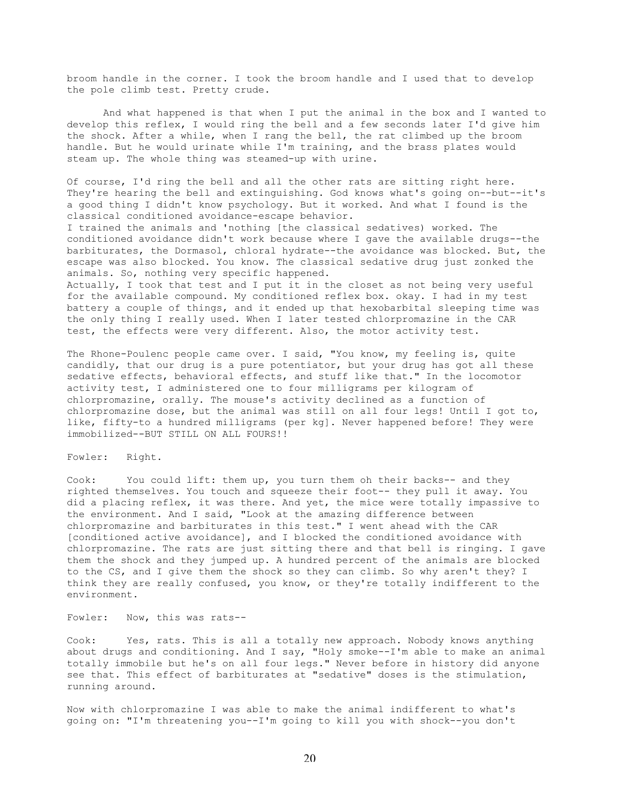broom handle in the corner. I took the broom handle and I used that to develop the pole climb test. Pretty crude.

And what happened is that when I put the animal in the box and I wanted to develop this reflex, I would ring the bell and a few seconds later I'd give him the shock. After a while, when I rang the bell, the rat climbed up the broom handle. But he would urinate while I'm training, and the brass plates would steam up. The whole thing was steamed-up with urine.

Of course, I'd ring the bell and all the other rats are sitting right here. They're hearing the bell and extinguishing. God knows what's going on--but--it's a good thing I didn't know psychology. But it worked. And what I found is the classical conditioned avoidance-escape behavior.

I trained the animals and 'nothing [the classical sedatives) worked. The conditioned avoidance didn't work because where I gave the available drugs--the barbiturates, the Dormasol, chloral hydrate--the avoidance was blocked. But, the escape was also blocked. You know. The classical sedative drug just zonked the animals. So, nothing very specific happened.

Actually, I took that test and I put it in the closet as not being very useful for the available compound. My conditioned reflex box. okay. I had in my test battery a couple of things, and it ended up that hexobarbital sleeping time was the only thing I really used. When I later tested chlorpromazine in the CAR test, the effects were very different. Also, the motor activity test.

The Rhone-Poulenc people came over. I said, "You know, my feeling is, quite candidly, that our drug is a pure potentiator, but your drug has got all these sedative effects, behavioral effects, and stuff like that." In the locomotor activity test, I administered one to four milligrams per kilogram of chlorpromazine, orally. The mouse's activity declined as a function of chlorpromazine dose, but the animal was still on all four legs! Until I got to, like, fifty-to a hundred milligrams (per kg]. Never happened before! They were immobilized--BUT STILL ON ALL FOURS!!

Fowler: Right.

Cook: You could lift: them up, you turn them oh their backs-- and they righted themselves. You touch and squeeze their foot-- they pull it away. You did a placing reflex, it was there. And yet, the mice were totally impassive to the environment. And I said, "Look at the amazing difference between chlorpromazine and barbiturates in this test." I went ahead with the CAR [conditioned active avoidance], and I blocked the conditioned avoidance with chlorpromazine. The rats are just sitting there and that bell is ringing. I gave them the shock and they jumped up. A hundred percent of the animals are blocked to the CS, and I give them the shock so they can climb. So why aren't they? I think they are really confused, you know, or they're totally indifferent to the environment.

Fowler: Now, this was rats--

Cook: Yes, rats. This is all a totally new approach. Nobody knows anything about drugs and conditioning. And I say, "Holy smoke--I'm able to make an animal totally immobile but he's on all four legs." Never before in history did anyone see that. This effect of barbiturates at "sedative" doses is the stimulation, running around.

Now with chlorpromazine I was able to make the animal indifferent to what's going on: "I'm threatening you--I'm going to kill you with shock--you don't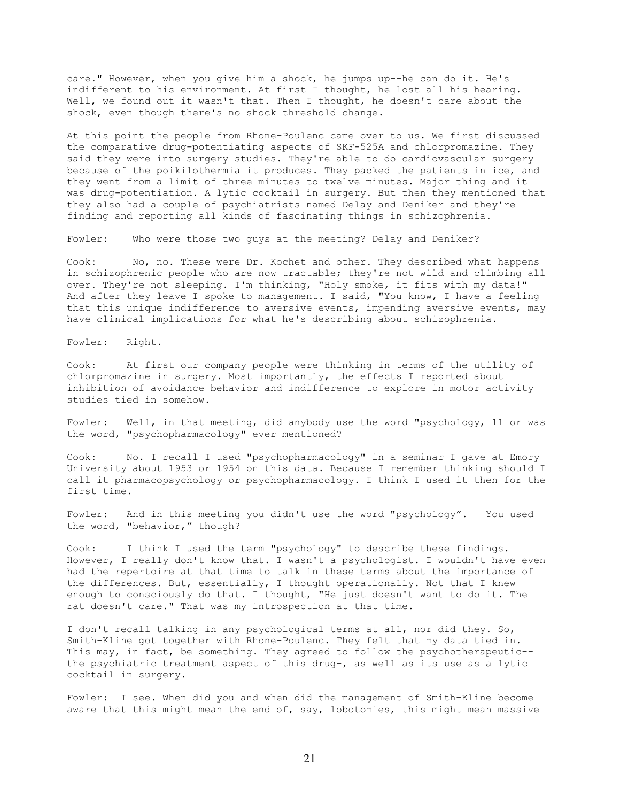care." However, when you give him a shock, he jumps up--he can do it. He's indifferent to his environment. At first I thought, he lost all his hearing. Well, we found out it wasn't that. Then I thought, he doesn't care about the shock, even though there's no shock threshold change.

At this point the people from Rhone-Poulenc came over to us. We first discussed the comparative drug-potentiating aspects of SKF-525A and chlorpromazine. They said they were into surgery studies. They're able to do cardiovascular surgery because of the poikilothermia it produces. They packed the patients in ice, and they went from a limit of three minutes to twelve minutes. Major thing and it was drug-potentiation. A lytic cocktail in surgery. But then they mentioned that they also had a couple of psychiatrists named Delay and Deniker and they're finding and reporting all kinds of fascinating things in schizophrenia.

Fowler: Who were those two guys at the meeting? Delay and Deniker?

Cook: No, no. These were Dr. Kochet and other. They described what happens in schizophrenic people who are now tractable; they're not wild and climbing all over. They're not sleeping. I'm thinking, "Holy smoke, it fits with my data!" And after they leave I spoke to management. I said, "You know, I have a feeling that this unique indifference to aversive events, impending aversive events, may have clinical implications for what he's describing about schizophrenia.

Fowler: Right.

Cook: At first our company people were thinking in terms of the utility of chlorpromazine in surgery. Most importantly, the effects I reported about inhibition of avoidance behavior and indifference to explore in motor activity studies tied in somehow.

Fowler: Well, in that meeting, did anybody use the word "psychology, 11 or was the word, "psychopharmacology" ever mentioned?

Cook: No. I recall I used "psychopharmacology" in a seminar I gave at Emory University about 1953 or 1954 on this data. Because I remember thinking should I call it pharmacopsychology or psychopharmacology. I think I used it then for the first time.

Fowler: And in this meeting you didn't use the word "psychology". You used the word, "behavior," though?

Cook: I think I used the term "psychology" to describe these findings. However, I really don't know that. I wasn't a psychologist. I wouldn't have even had the repertoire at that time to talk in these terms about the importance of the differences. But, essentially, I thought operationally. Not that I knew enough to consciously do that. I thought, "He just doesn't want to do it. The rat doesn't care." That was my introspection at that time.

I don't recall talking in any psychological terms at all, nor did they. So, Smith-Kline got together with Rhone-Poulenc. They felt that my data tied in. This may, in fact, be something. They agreed to follow the psychotherapeutic-the psychiatric treatment aspect of this drug-, as well as its use as a lytic cocktail in surgery.

Fowler: I see. When did you and when did the management of Smith-Kline become aware that this might mean the end of, say, lobotomies, this might mean massive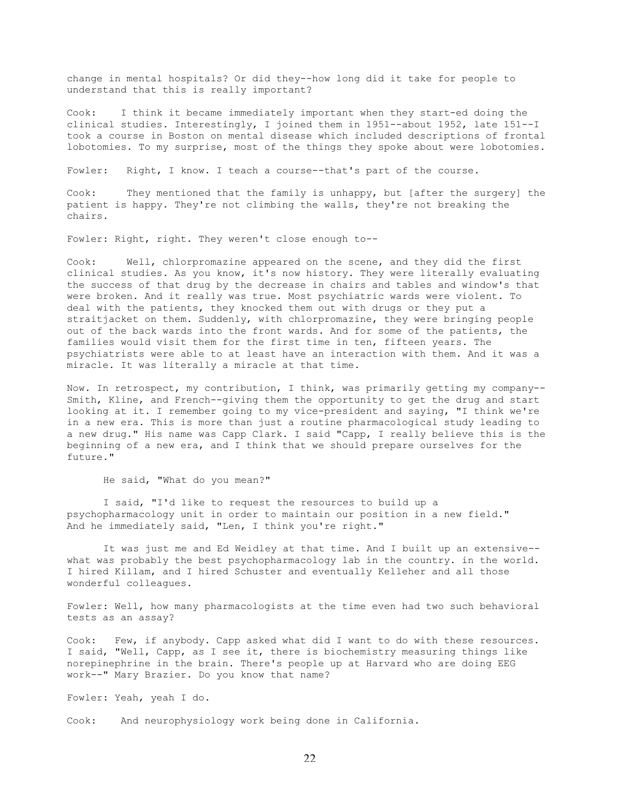change in mental hospitals? Or did they--how long did it take for people to understand that this is really important?

Cook: I think it became immediately important when they start-ed doing the clinical studies. Interestingly, I joined them in 1951--about 1952, late 151--I took a course in Boston on mental disease which included descriptions of frontal lobotomies. To my surprise, most of the things they spoke about were lobotomies.

Fowler: Right, I know. I teach a course--that's part of the course.

Cook: They mentioned that the family is unhappy, but [after the surgery] the patient is happy. They're not climbing the walls, they're not breaking the chairs.

Fowler: Right, right. They weren't close enough to--

Cook: Well, chlorpromazine appeared on the scene, and they did the first clinical studies. As you know, it's now history. They were literally evaluating the success of that drug by the decrease in chairs and tables and window's that were broken. And it really was true. Most psychiatric wards were violent. To deal with the patients, they knocked them out with drugs or they put a straitjacket on them. Suddenly, with chlorpromazine, they were bringing people out of the back wards into the front wards. And for some of the patients, the families would visit them for the first time in ten, fifteen years. The psychiatrists were able to at least have an interaction with them. And it was a miracle. It was literally a miracle at that time.

Now. In retrospect, my contribution, I think, was primarily getting my company-- Smith, Kline, and French--giving them the opportunity to get the drug and start looking at it. I remember going to my vice-president and saying, "I think we're in a new era. This is more than just a routine pharmacological study leading to a new drug." His name was Capp Clark. I said "Capp, I really believe this is the beginning of a new era, and I think that we should prepare ourselves for the future."

He said, "What do you mean?"

I said, "I'd like to request the resources to build up a psychopharmacology unit in order to maintain our position in a new field." And he immediately said, "Len, I think you're right."

It was just me and Ed Weidley at that time. And I built up an extensive- what was probably the best psychopharmacology lab in the country. in the world. I hired Killam, and I hired Schuster and eventually Kelleher and all those wonderful colleagues.

Fowler: Well, how many pharmacologists at the time even had two such behavioral tests as an assay?

Cook: Few, if anybody. Capp asked what did I want to do with these resources. I said, "Well, Capp, as I see it, there is biochemistry measuring things like norepinephrine in the brain. There's people up at Harvard who are doing EEG work--" Mary Brazier. Do you know that name?

Fowler: Yeah, yeah I do.

Cook: And neurophysiology work being done in California.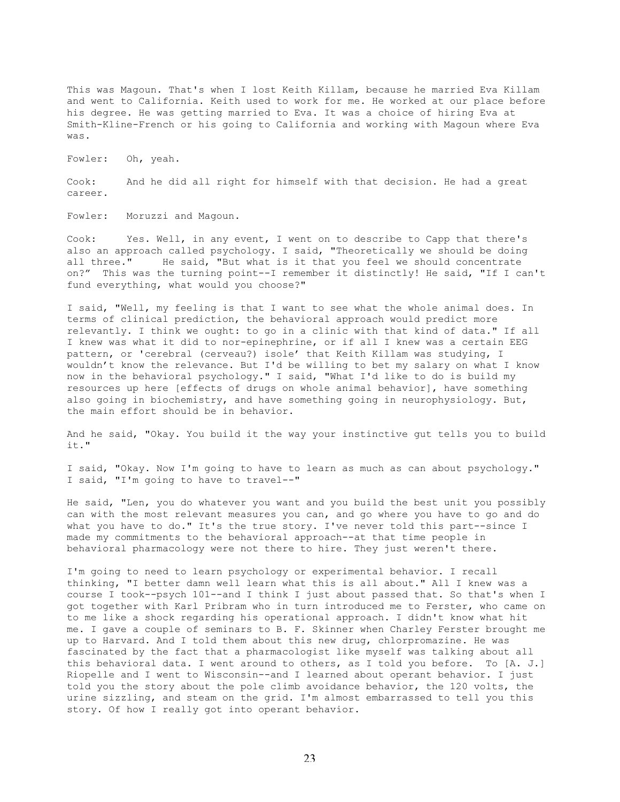This was Magoun. That's when I lost Keith Killam, because he married Eva Killam and went to California. Keith used to work for me. He worked at our place before his degree. He was getting married to Eva. It was a choice of hiring Eva at Smith-Kline-French or his going to California and working with Magoun where Eva was.

Fowler: Oh, yeah.

Cook: And he did all right for himself with that decision. He had a great career.

Fowler: Moruzzi and Magoun.

Cook: Yes. Well, in any event, I went on to describe to Capp that there's also an approach called psychology. I said, "Theoretically we should be doing all three." He said, "But what is it that you feel we should concentrate on?" This was the turning point--I remember it distinctly! He said, "If I can't fund everything, what would you choose?"

I said, "Well, my feeling is that I want to see what the whole animal does. In terms of clinical prediction, the behavioral approach would predict more relevantly. I think we ought: to go in a clinic with that kind of data." If all I knew was what it did to nor-epinephrine, or if all I knew was a certain EEG pattern, or 'cerebral (cerveau?) isole' that Keith Killam was studying, I wouldn't know the relevance. But I'd be willing to bet my salary on what I know now in the behavioral psychology." I said, "What I'd like to do is build my resources up here [effects of drugs on whole animal behavior], have something also going in biochemistry, and have something going in neurophysiology. But, the main effort should be in behavior.

And he said, "Okay. You build it the way your instinctive gut tells you to build it."

I said, "Okay. Now I'm going to have to learn as much as can about psychology." I said, "I'm going to have to travel--"

He said, "Len, you do whatever you want and you build the best unit you possibly can with the most relevant measures you can, and go where you have to go and do what you have to do." It's the true story. I've never told this part--since I made my commitments to the behavioral approach--at that time people in behavioral pharmacology were not there to hire. They just weren't there.

I'm going to need to learn psychology or experimental behavior. I recall thinking, "I better damn well learn what this is all about." All I knew was a course I took--psych 101--and I think I just about passed that. So that's when I got together with Karl Pribram who in turn introduced me to Ferster, who came on to me like a shock regarding his operational approach. I didn't know what hit me. I gave a couple of seminars to B. F. Skinner when Charley Ferster brought me up to Harvard. And I told them about this new drug, chlorpromazine. He was fascinated by the fact that a pharmacologist like myself was talking about all this behavioral data. I went around to others, as I told you before. To [A. J.] Riopelle and I went to Wisconsin--and I learned about operant behavior. I just told you the story about the pole climb avoidance behavior, the 120 volts, the urine sizzling, and steam on the grid. I'm almost embarrassed to tell you this story. Of how I really got into operant behavior.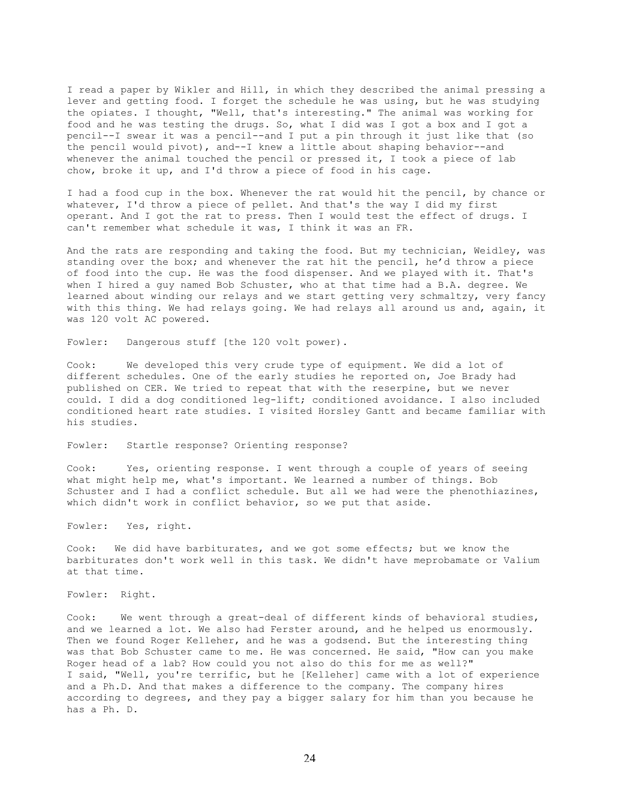I read a paper by Wikler and Hill, in which they described the animal pressing a lever and getting food. I forget the schedule he was using, but he was studying the opiates. I thought, "Well, that's interesting." The animal was working for food and he was testing the drugs. So, what I did was I got a box and I got a pencil--I swear it was a pencil--and I put a pin through it just like that (so the pencil would pivot), and--I knew a little about shaping behavior--and whenever the animal touched the pencil or pressed it, I took a piece of lab chow, broke it up, and I'd throw a piece of food in his cage.

I had a food cup in the box. Whenever the rat would hit the pencil, by chance or whatever, I'd throw a piece of pellet. And that's the way I did my first operant. And I got the rat to press. Then I would test the effect of drugs. I can't remember what schedule it was, I think it was an FR.

And the rats are responding and taking the food. But my technician, Weidley, was standing over the box; and whenever the rat hit the pencil, he'd throw a piece of food into the cup. He was the food dispenser. And we played with it. That's when I hired a guy named Bob Schuster, who at that time had a B.A. degree. We learned about winding our relays and we start getting very schmaltzy, very fancy with this thing. We had relays going. We had relays all around us and, again, it was 120 volt AC powered.

Fowler: Dangerous stuff [the 120 volt power).

Cook: We developed this very crude type of equipment. We did a lot of different schedules. One of the early studies he reported on, Joe Brady had published on CER. We tried to repeat that with the reserpine, but we never could. I did a dog conditioned leg-lift; conditioned avoidance. I also included conditioned heart rate studies. I visited Horsley Gantt and became familiar with his studies.

Fowler: Startle response? Orienting response?

Cook: Yes, orienting response. I went through a couple of years of seeing what might help me, what's important. We learned a number of things. Bob Schuster and I had a conflict schedule. But all we had were the phenothiazines, which didn't work in conflict behavior, so we put that aside.

Fowler: Yes, right.

Cook: We did have barbiturates, and we got some effects; but we know the barbiturates don't work well in this task. We didn't have meprobamate or Valium at that time.

Fowler: Right.

Cook: We went through a great-deal of different kinds of behavioral studies, and we learned a lot. We also had Ferster around, and he helped us enormously. Then we found Roger Kelleher, and he was a godsend. But the interesting thing was that Bob Schuster came to me. He was concerned. He said, "How can you make Roger head of a lab? How could you not also do this for me as well?" I said, "Well, you're terrific, but he [Kelleher] came with a lot of experience and a Ph.D. And that makes a difference to the company. The company hires according to degrees, and they pay a bigger salary for him than you because he has a Ph. D.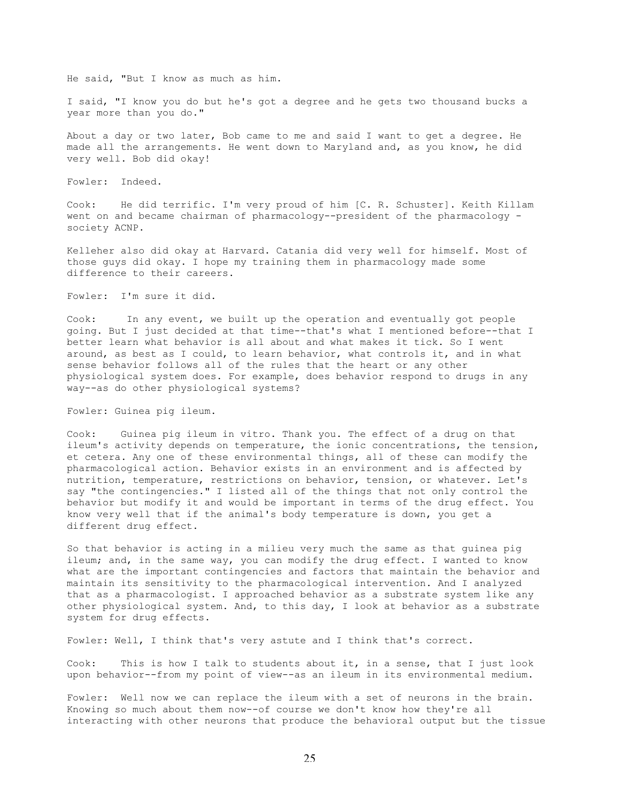He said, "But I know as much as him.

I said, "I know you do but he's got a degree and he gets two thousand bucks a year more than you do."

About a day or two later, Bob came to me and said I want to get a degree. He made all the arrangements. He went down to Maryland and, as you know, he did very well. Bob did okay!

Fowler: Indeed.

Cook: He did terrific. I'm very proud of him [C. R. Schuster]. Keith Killam went on and became chairman of pharmacology--president of the pharmacology society ACNP.

Kelleher also did okay at Harvard. Catania did very well for himself. Most of those guys did okay. I hope my training them in pharmacology made some difference to their careers.

Fowler: I'm sure it did.

Cook: In any event, we built up the operation and eventually got people going. But I just decided at that time--that's what I mentioned before--that I better learn what behavior is all about and what makes it tick. So I went around, as best as I could, to learn behavior, what controls it, and in what sense behavior follows all of the rules that the heart or any other physiological system does. For example, does behavior respond to drugs in any way--as do other physiological systems?

Fowler: Guinea pig ileum.

Cook: Guinea pig ileum in vitro. Thank you. The effect of a drug on that ileum's activity depends on temperature, the ionic concentrations, the tension, et cetera. Any one of these environmental things, all of these can modify the pharmacological action. Behavior exists in an environment and is affected by nutrition, temperature, restrictions on behavior, tension, or whatever. Let's say "the contingencies." I listed all of the things that not only control the behavior but modify it and would be important in terms of the drug effect. You know very well that if the animal's body temperature is down, you get a different drug effect.

So that behavior is acting in a milieu very much the same as that guinea pig ileum; and, in the same way, you can modify the drug effect. I wanted to know what are the important contingencies and factors that maintain the behavior and maintain its sensitivity to the pharmacological intervention. And I analyzed that as a pharmacologist. I approached behavior as a substrate system like any other physiological system. And, to this day, I look at behavior as a substrate system for drug effects.

Fowler: Well, I think that's very astute and I think that's correct.

Cook: This is how I talk to students about it, in a sense, that I just look upon behavior--from my point of view--as an ileum in its environmental medium.

Fowler: Well now we can replace the ileum with a set of neurons in the brain. Knowing so much about them now--of course we don't know how they're all interacting with other neurons that produce the behavioral output but the tissue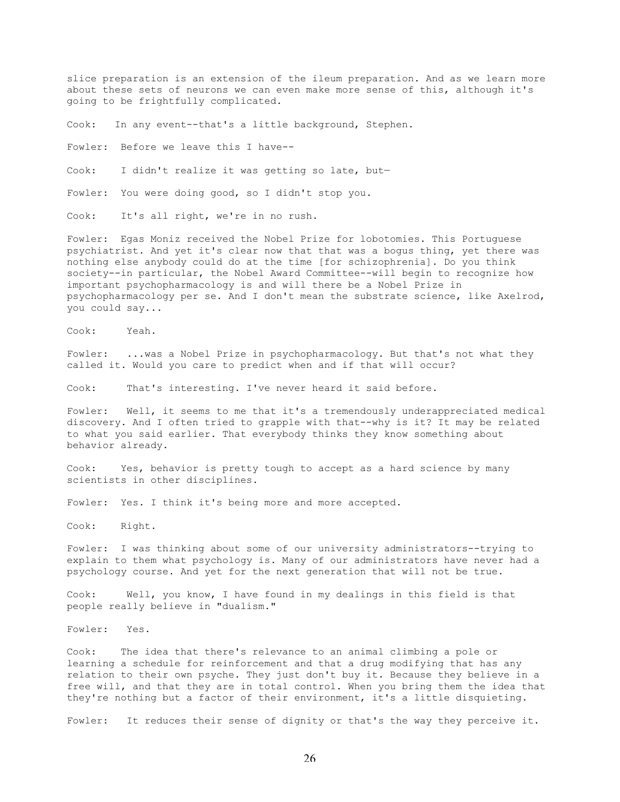slice preparation is an extension of the ileum preparation. And as we learn more about these sets of neurons we can even make more sense of this, although it's going to be frightfully complicated.

Cook: In any event--that's a little background, Stephen.

Fowler: Before we leave this I have--

Cook: I didn't realize it was getting so late, but—

Fowler: You were doing good, so I didn't stop you.

Cook: It's all right, we're in no rush.

Fowler: Egas Moniz received the Nobel Prize for lobotomies. This Portuguese psychiatrist. And yet it's clear now that that was a bogus thing, yet there was nothing else anybody could do at the time [for schizophrenia]. Do you think society--in particular, the Nobel Award Committee--will begin to recognize how important psychopharmacology is and will there be a Nobel Prize in psychopharmacology per se. And I don't mean the substrate science, like Axelrod, you could say...

Cook: Yeah.

Fowler: ...was a Nobel Prize in psychopharmacology. But that's not what they called it. Would you care to predict when and if that will occur?

Cook: That's interesting. I've never heard it said before.

Fowler: Well, it seems to me that it's a tremendously underappreciated medical discovery. And I often tried to grapple with that--why is it? It may be related to what you said earlier. That everybody thinks they know something about behavior already.

Cook: Yes, behavior is pretty tough to accept as a hard science by many scientists in other disciplines.

Fowler: Yes. I think it's being more and more accepted.

Cook: Right.

Fowler: I was thinking about some of our university administrators--trying to explain to them what psychology is. Many of our administrators have never had a psychology course. And yet for the next generation that will not be true.

Cook: Well, you know, I have found in my dealings in this field is that people really believe in "dualism."

Fowler: Yes.

Cook: The idea that there's relevance to an animal climbing a pole or learning a schedule for reinforcement and that a drug modifying that has any relation to their own psyche. They just don't buy it. Because they believe in a free will, and that they are in total control. When you bring them the idea that they're nothing but a factor of their environment, it's a little disquieting.

Fowler: It reduces their sense of dignity or that's the way they perceive it.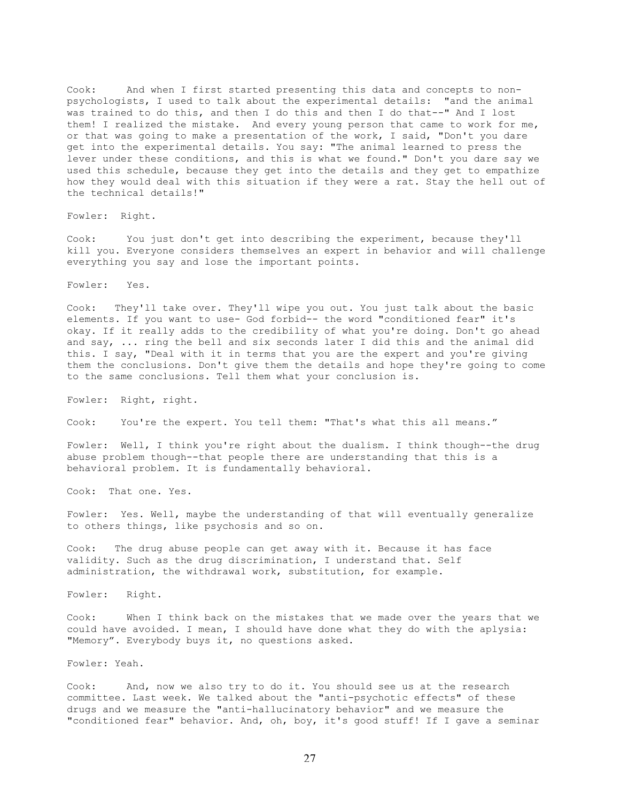Cook: And when I first started presenting this data and concepts to nonpsychologists, I used to talk about the experimental details: "and the animal was trained to do this, and then I do this and then I do that--" And I lost them! I realized the mistake. And every young person that came to work for me, or that was going to make a presentation of the work, I said, "Don't you dare get into the experimental details. You say: "The animal learned to press the lever under these conditions, and this is what we found." Don't you dare say we used this schedule, because they get into the details and they get to empathize how they would deal with this situation if they were a rat. Stay the hell out of the technical details!"

Fowler: Right.

Cook: You just don't get into describing the experiment, because they'll kill you. Everyone considers themselves an expert in behavior and will challenge everything you say and lose the important points.

Fowler: Yes.

Cook: They'll take over. They'll wipe you out. You just talk about the basic elements. If you want to use- God forbid-- the word "conditioned fear" it's okay. If it really adds to the credibility of what you're doing. Don't go ahead and say, ... ring the bell and six seconds later I did this and the animal did this. I say, "Deal with it in terms that you are the expert and you're giving them the conclusions. Don't give them the details and hope they're going to come to the same conclusions. Tell them what your conclusion is.

Fowler: Right, right.

Cook: You're the expert. You tell them: "That's what this all means."

Fowler: Well, I think you're right about the dualism. I think though--the drug abuse problem though--that people there are understanding that this is a behavioral problem. It is fundamentally behavioral.

Cook: That one. Yes.

Fowler: Yes. Well, maybe the understanding of that will eventually generalize to others things, like psychosis and so on.

Cook: The drug abuse people can get away with it. Because it has face validity. Such as the drug discrimination, I understand that. Self administration, the withdrawal work, substitution, for example.

Fowler: Right.

Cook: When I think back on the mistakes that we made over the years that we could have avoided. I mean, I should have done what they do with the aplysia: "Memory". Everybody buys it, no questions asked.

Fowler: Yeah.

Cook: And, now we also try to do it. You should see us at the research committee. Last week. We talked about the "anti-psychotic effects" of these drugs and we measure the "anti-hallucinatory behavior" and we measure the "conditioned fear" behavior. And, oh, boy, it's good stuff! If I gave a seminar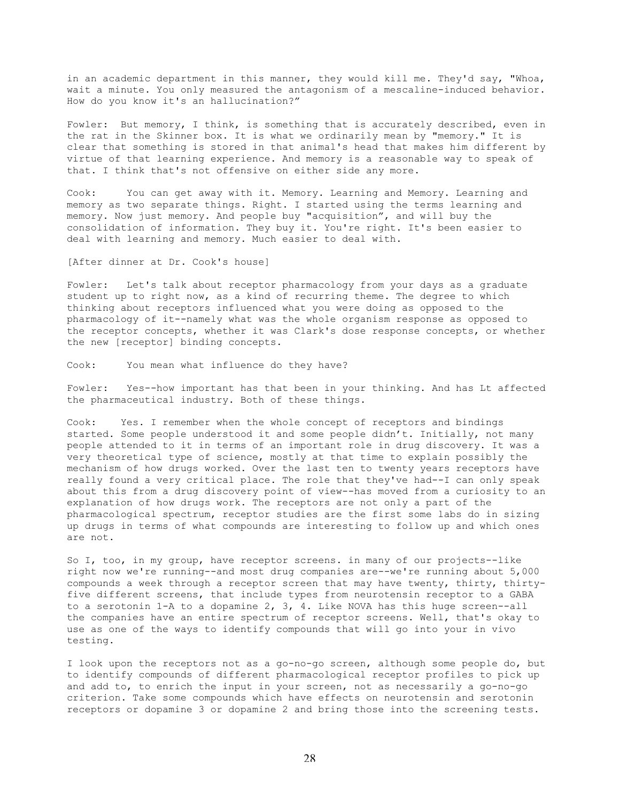in an academic department in this manner, they would kill me. They'd say, "Whoa, wait a minute. You only measured the antagonism of a mescaline-induced behavior. How do you know it's an hallucination?"

Fowler: But memory, I think, is something that is accurately described, even in the rat in the Skinner box. It is what we ordinarily mean by "memory." It is clear that something is stored in that animal's head that makes him different by virtue of that learning experience. And memory is a reasonable way to speak of that. I think that's not offensive on either side any more.

Cook: You can get away with it. Memory. Learning and Memory. Learning and memory as two separate things. Right. I started using the terms learning and memory. Now just memory. And people buy "acquisition", and will buy the consolidation of information. They buy it. You're right. It's been easier to deal with learning and memory. Much easier to deal with.

[After dinner at Dr. Cook's house]

Fowler: Let's talk about receptor pharmacology from your days as a graduate student up to right now, as a kind of recurring theme. The degree to which thinking about receptors influenced what you were doing as opposed to the pharmacology of it--namely what was the whole organism response as opposed to the receptor concepts, whether it was Clark's dose response concepts, or whether the new [receptor] binding concepts.

Cook: You mean what influence do they have?

Fowler: Yes--how important has that been in your thinking. And has Lt affected the pharmaceutical industry. Both of these things.

Cook: Yes. I remember when the whole concept of receptors and bindings started. Some people understood it and some people didn't. Initially, not many people attended to it in terms of an important role in drug discovery. It was a very theoretical type of science, mostly at that time to explain possibly the mechanism of how drugs worked. Over the last ten to twenty years receptors have really found a very critical place. The role that they've had--I can only speak about this from a drug discovery point of view--has moved from a curiosity to an explanation of how drugs work. The receptors are not only a part of the pharmacological spectrum, receptor studies are the first some labs do in sizing up drugs in terms of what compounds are interesting to follow up and which ones are not.

So I, too, in my group, have receptor screens. in many of our projects--like right now we're running--and most drug companies are--we're running about 5,000 compounds a week through a receptor screen that may have twenty, thirty, thirtyfive different screens, that include types from neurotensin receptor to a GABA to a serotonin 1-A to a dopamine 2, 3, 4. Like NOVA has this huge screen--all the companies have an entire spectrum of receptor screens. Well, that's okay to use as one of the ways to identify compounds that will go into your in vivo testing.

I look upon the receptors not as a go-no-go screen, although some people do, but to identify compounds of different pharmacological receptor profiles to pick up and add to, to enrich the input in your screen, not as necessarily a go-no-go criterion. Take some compounds which have effects on neurotensin and serotonin receptors or dopamine 3 or dopamine 2 and bring those into the screening tests.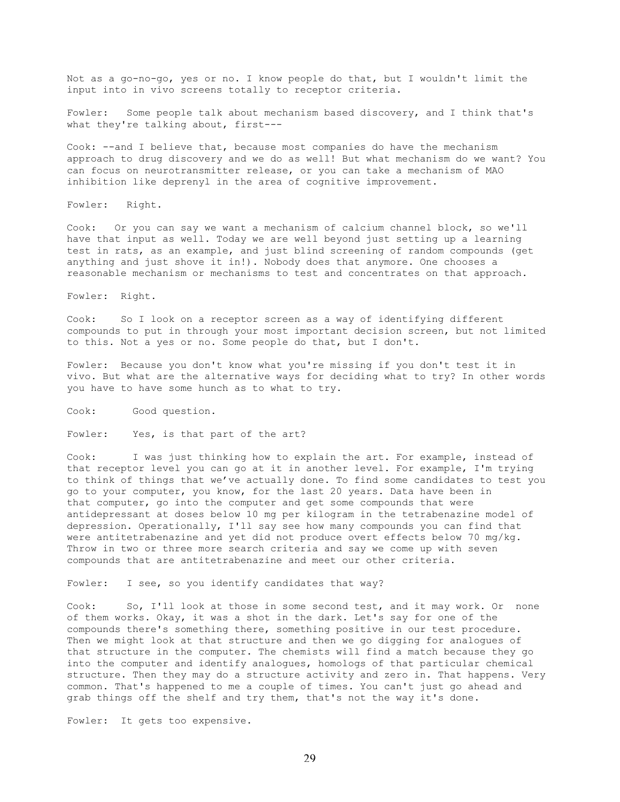Not as a go-no-go, yes or no. I know people do that, but I wouldn't limit the input into in vivo screens totally to receptor criteria.

Fowler: Some people talk about mechanism based discovery, and I think that's what they're talking about, first---

Cook: --and I believe that, because most companies do have the mechanism approach to drug discovery and we do as well! But what mechanism do we want? You can focus on neurotransmitter release, or you can take a mechanism of MAO inhibition like deprenyl in the area of cognitive improvement.

Fowler: Right.

Cook: Or you can say we want a mechanism of calcium channel block, so we'll have that input as well. Today we are well beyond just setting up a learning test in rats, as an example, and just blind screening of random compounds (get anything and just shove it in!). Nobody does that anymore. One chooses a reasonable mechanism or mechanisms to test and concentrates on that approach.

Fowler: Right.

Cook: So I look on a receptor screen as a way of identifying different compounds to put in through your most important decision screen, but not limited to this. Not a yes or no. Some people do that, but I don't.

Fowler: Because you don't know what you're missing if you don't test it in vivo. But what are the alternative ways for deciding what to try? In other words you have to have some hunch as to what to try.

Cook: Good question.

Fowler: Yes, is that part of the art?

Cook: I was just thinking how to explain the art. For example, instead of that receptor level you can go at it in another level. For example, I'm trying to think of things that we've actually done. To find some candidates to test you go to your computer, you know, for the last 20 years. Data have been in that computer, go into the computer and get some compounds that were antidepressant at doses below 10 mg per kilogram in the tetrabenazine model of depression. Operationally, I'll say see how many compounds you can find that were antitetrabenazine and yet did not produce overt effects below 70 mg/kg. Throw in two or three more search criteria and say we come up with seven compounds that are antitetrabenazine and meet our other criteria.

Fowler: I see, so you identify candidates that way?

Cook: So, I'll look at those in some second test, and it may work. Or none of them works. Okay, it was a shot in the dark. Let's say for one of the compounds there's something there, something positive in our test procedure. Then we might look at that structure and then we go digging for analogues of that structure in the computer. The chemists will find a match because they go into the computer and identify analogues, homologs of that particular chemical structure. Then they may do a structure activity and zero in. That happens. Very common. That's happened to me a couple of times. You can't just go ahead and grab things off the shelf and try them, that's not the way it's done.

Fowler: It gets too expensive.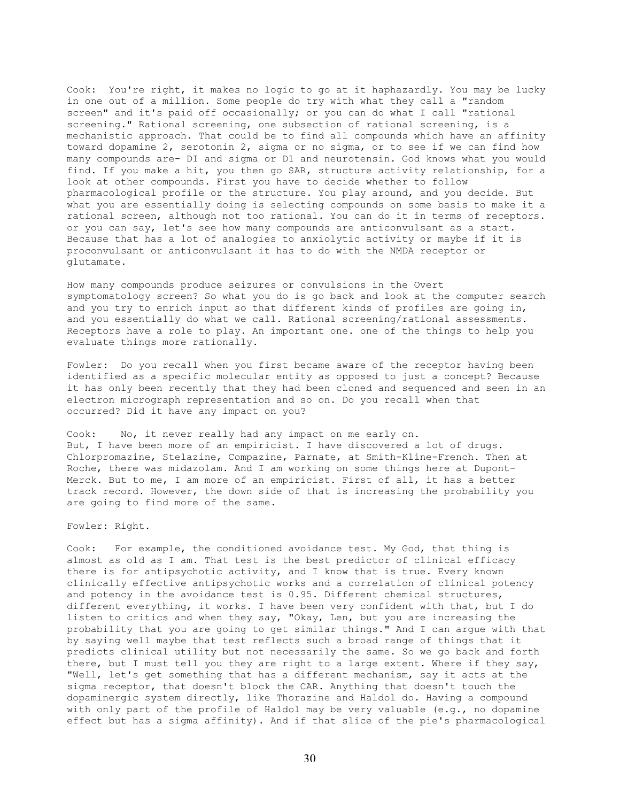Cook: You're right, it makes no logic to go at it haphazardly. You may be lucky in one out of a million. Some people do try with what they call a "random screen" and it's paid off occasionally; or you can do what I call "rational screening." Rational screening, one subsection of rational screening, is a mechanistic approach. That could be to find all compounds which have an affinity toward dopamine 2, serotonin 2, sigma or no sigma, or to see if we can find how many compounds are- DI and sigma or D1 and neurotensin. God knows what you would find. If you make a hit, you then go SAR, structure activity relationship, for a look at other compounds. First you have to decide whether to follow pharmacological profile or the structure. You play around, and you decide. But what you are essentially doing is selecting compounds on some basis to make it a rational screen, although not too rational. You can do it in terms of receptors. or you can say, let's see how many compounds are anticonvulsant as a start. Because that has a lot of analogies to anxiolytic activity or maybe if it is proconvulsant or anticonvulsant it has to do with the NMDA receptor or glutamate.

How many compounds produce seizures or convulsions in the Overt symptomatology screen? So what you do is go back and look at the computer search and you try to enrich input so that different kinds of profiles are going in, and you essentially do what we call. Rational screening/rational assessments. Receptors have a role to play. An important one. one of the things to help you evaluate things more rationally.

Fowler: Do you recall when you first became aware of the receptor having been identified as a specific molecular entity as opposed to just a concept? Because it has only been recently that they had been cloned and sequenced and seen in an electron micrograph representation and so on. Do you recall when that occurred? Did it have any impact on you?

Cook: No, it never really had any impact on me early on. But, I have been more of an empiricist. I have discovered a lot of drugs. Chlorpromazine, Stelazine, Compazine, Parnate, at Smith-Kline-French. Then at Roche, there was midazolam. And I am working on some things here at Dupont-Merck. But to me, I am more of an empiricist. First of all, it has a better track record. However, the down side of that is increasing the probability you are going to find more of the same.

Fowler: Right.

Cook: For example, the conditioned avoidance test. My God, that thing is almost as old as I am. That test is the best predictor of clinical efficacy there is for antipsychotic activity, and I know that is true. Every known clinically effective antipsychotic works and a correlation of clinical potency and potency in the avoidance test is 0.95. Different chemical structures, different everything, it works. I have been very confident with that, but I do listen to critics and when they say, "Okay, Len, but you are increasing the probability that you are going to get similar things." And I can argue with that by saying well maybe that test reflects such a broad range of things that it predicts clinical utility but not necessarily the same. So we go back and forth there, but I must tell you they are right to a large extent. Where if they say, "Well, let's get something that has a different mechanism, say it acts at the sigma receptor, that doesn't block the CAR. Anything that doesn't touch the dopaminergic system directly, like Thorazine and Haldol do. Having a compound with only part of the profile of Haldol may be very valuable (e.g., no dopamine effect but has a sigma affinity). And if that slice of the pie's pharmacological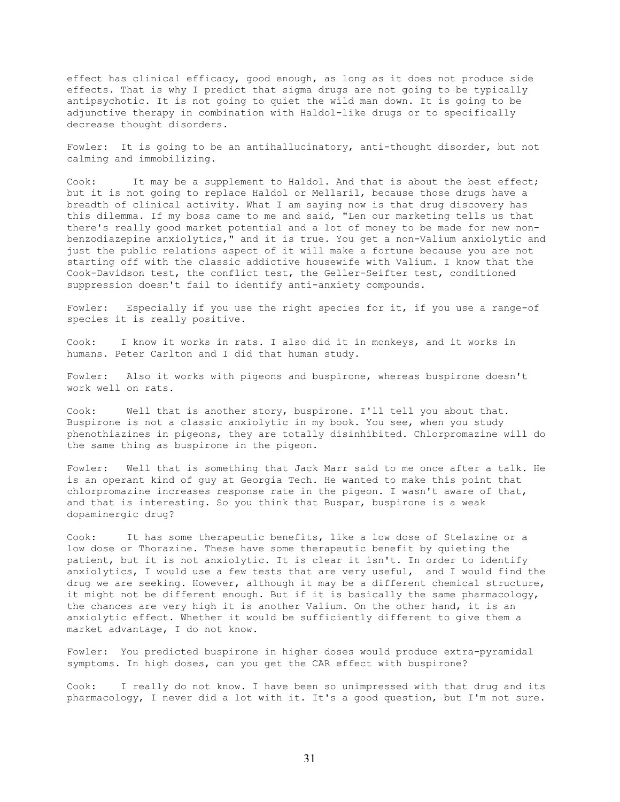effect has clinical efficacy, good enough, as long as it does not produce side effects. That is why I predict that sigma drugs are not going to be typically antipsychotic. It is not going to quiet the wild man down. It is going to be adjunctive therapy in combination with Haldol-like drugs or to specifically decrease thought disorders.

Fowler: It is going to be an antihallucinatory, anti-thought disorder, but not calming and immobilizing.

Cook: It may be a supplement to Haldol. And that is about the best effect; but it is not going to replace Haldol or Mellaril, because those drugs have a breadth of clinical activity. What I am saying now is that drug discovery has this dilemma. If my boss came to me and said, "Len our marketing tells us that there's really good market potential and a lot of money to be made for new nonbenzodiazepine anxiolytics," and it is true. You get a non-Valium anxiolytic and just the public relations aspect of it will make a fortune because you are not starting off with the classic addictive housewife with Valium. I know that the Cook-Davidson test, the conflict test, the Geller-Seifter test, conditioned suppression doesn't fail to identify anti-anxiety compounds.

Fowler: Especially if you use the right species for it, if you use a range-of species it is really positive.

Cook: I know it works in rats. I also did it in monkeys, and it works in humans. Peter Carlton and I did that human study.

Fowler: Also it works with pigeons and buspirone, whereas buspirone doesn't work well on rats.

Cook: Well that is another story, buspirone. I'll tell you about that. Buspirone is not a classic anxiolytic in my book. You see, when you study phenothiazines in pigeons, they are totally disinhibited. Chlorpromazine will do the same thing as buspirone in the pigeon.

Fowler: Well that is something that Jack Marr said to me once after a talk. He is an operant kind of guy at Georgia Tech. He wanted to make this point that chlorpromazine increases response rate in the pigeon. I wasn't aware of that, and that is interesting. So you think that Buspar, buspirone is a weak dopaminergic drug?

Cook: It has some therapeutic benefits, like a low dose of Stelazine or a low dose or Thorazine. These have some therapeutic benefit by quieting the patient, but it is not anxiolytic. It is clear it isn't. In order to identify anxiolytics, I would use a few tests that are very useful, and I would find the drug we are seeking. However, although it may be a different chemical structure, it might not be different enough. But if it is basically the same pharmacology, the chances are very high it is another Valium. On the other hand, it is an anxiolytic effect. Whether it would be sufficiently different to give them a market advantage, I do not know.

Fowler: You predicted buspirone in higher doses would produce extra-pyramidal symptoms. In high doses, can you get the CAR effect with buspirone?

Cook: I really do not know. I have been so unimpressed with that drug and its pharmacology, I never did a lot with it. It's a good question, but I'm not sure.

31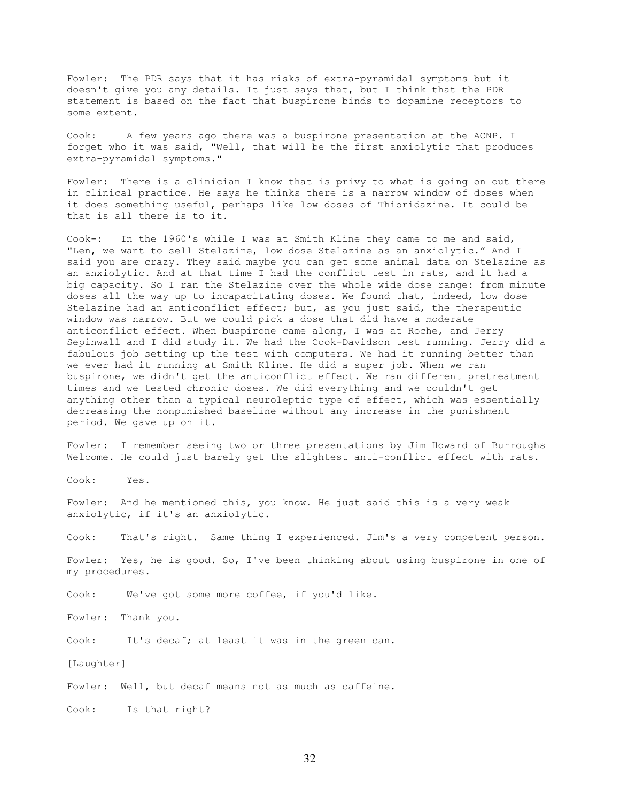Fowler: The PDR says that it has risks of extra-pyramidal symptoms but it doesn't give you any details. It just says that, but I think that the PDR statement is based on the fact that buspirone binds to dopamine receptors to some extent.

Cook: A few years ago there was a buspirone presentation at the ACNP. I forget who it was said, "Well, that will be the first anxiolytic that produces extra-pyramidal symptoms."

Fowler: There is a clinician I know that is privy to what is going on out there in clinical practice. He says he thinks there is a narrow window of doses when it does something useful, perhaps like low doses of Thioridazine. It could be that is all there is to it.

Cook-: In the 1960's while I was at Smith Kline they came to me and said, "Len, we want to sell Stelazine, low dose Stelazine as an anxiolytic." And I said you are crazy. They said maybe you can get some animal data on Stelazine as an anxiolytic. And at that time I had the conflict test in rats, and it had a big capacity. So I ran the Stelazine over the whole wide dose range: from minute doses all the way up to incapacitating doses. We found that, indeed, low dose Stelazine had an anticonflict effect; but, as you just said, the therapeutic window was narrow. But we could pick a dose that did have a moderate anticonflict effect. When buspirone came along, I was at Roche, and Jerry Sepinwall and I did study it. We had the Cook-Davidson test running. Jerry did a fabulous job setting up the test with computers. We had it running better than we ever had it running at Smith Kline. He did a super job. When we ran buspirone, we didn't get the anticonflict effect. We ran different pretreatment times and we tested chronic doses. We did everything and we couldn't get anything other than a typical neuroleptic type of effect, which was essentially decreasing the nonpunished baseline without any increase in the punishment period. We gave up on it.

Fowler: I remember seeing two or three presentations by Jim Howard of Burroughs Welcome. He could just barely get the slightest anti-conflict effect with rats.

Cook: Yes.

Fowler: And he mentioned this, you know. He just said this is a very weak anxiolytic, if it's an anxiolytic.

Cook: That's right. Same thing I experienced. Jim's a very competent person.

Fowler: Yes, he is good. So, I've been thinking about using buspirone in one of my procedures.

Cook: We've got some more coffee, if you'd like.

Fowler: Thank you.

Cook: It's decaf; at least it was in the green can.

[Laughter]

Fowler: Well, but decaf means not as much as caffeine.

Cook: Is that right?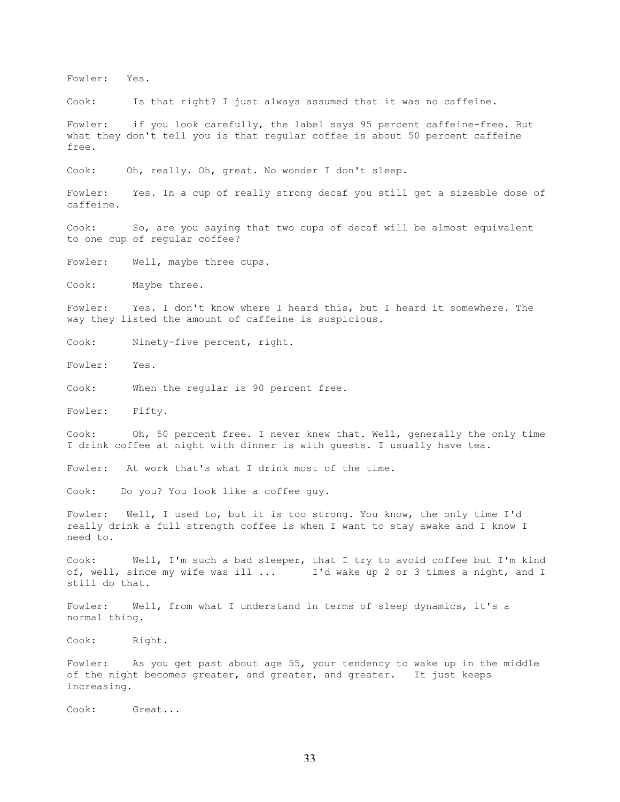Fowler: Yes.

Cook: Is that right? I just always assumed that it was no caffeine.

Fowler: if you look carefully, the label says 95 percent caffeine-free. But what they don't tell you is that regular coffee is about 50 percent caffeine free.

Cook: Oh, really. Oh, great. No wonder I don't sleep.

Fowler: Yes. In a cup of really strong decaf you still get a sizeable dose of caffeine.

Cook: So, are you saying that two cups of decaf will be almost equivalent to one cup of regular coffee?

Fowler: Well, maybe three cups.

Cook: Maybe three.

Fowler: Yes. I don't know where I heard this, but I heard it somewhere. The way they listed the amount of caffeine is suspicious.

Cook: Ninety-five percent, right.

Fowler: Yes.

Cook: When the regular is 90 percent free.

Fowler: Fifty.

Cook: Oh, 50 percent free. I never knew that. Well, generally the only time I drink coffee at night with dinner is with guests. I usually have tea.

Fowler: At work that's what I drink most of the time.

Cook: Do you? You look like a coffee guy.

Fowler: Well, I used to, but it is too strong. You know, the only time I'd really drink a full strength coffee is when I want to stay awake and I know I need to.

Cook: Well, I'm such a bad sleeper, that I try to avoid coffee but I'm kind of, well, since my wife was ill ... I'd wake up 2 or 3 times a night, and I still do that.

Fowler: Well, from what I understand in terms of sleep dynamics, it's a normal thing.

Cook: Right.

Fowler: As you get past about age 55, your tendency to wake up in the middle of the night becomes greater, and greater, and greater. It just keeps increasing.

Cook: Great...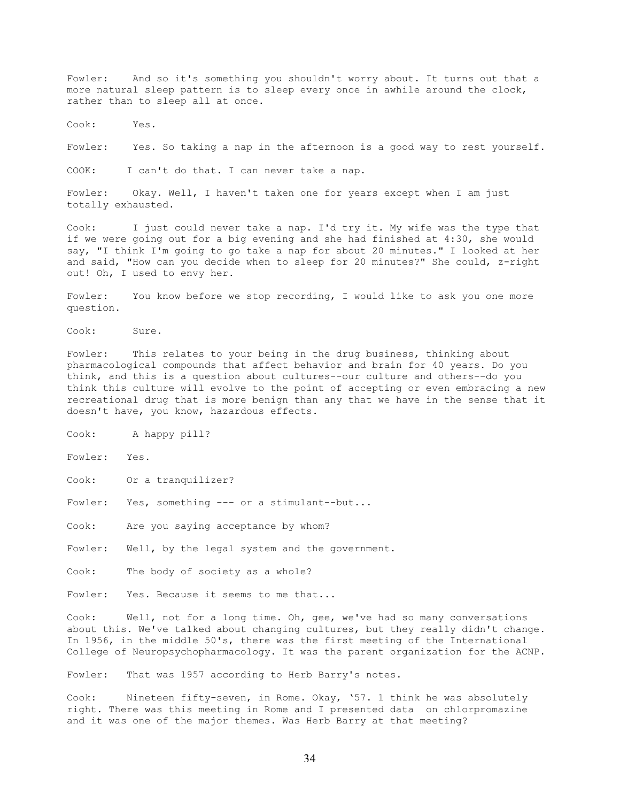Fowler: And so it's something you shouldn't worry about. It turns out that a more natural sleep pattern is to sleep every once in awhile around the clock, rather than to sleep all at once.

Cook: Yes.

Fowler: Yes. So taking a nap in the afternoon is a good way to rest yourself.

COOK: I can't do that. I can never take a nap.

Fowler: Okay. Well, I haven't taken one for years except when I am just totally exhausted.

Cook: I just could never take a nap. I'd try it. My wife was the type that if we were going out for a big evening and she had finished at 4:30, she would say, "I think I'm going to go take a nap for about 20 minutes." I looked at her and said, "How can you decide when to sleep for 20 minutes?" She could, z-right out! Oh, I used to envy her.

Fowler: You know before we stop recording, I would like to ask you one more question.

Cook: Sure.

Fowler: This relates to your being in the drug business, thinking about pharmacological compounds that affect behavior and brain for 40 years. Do you think, and this is a question about cultures--our culture and others--do you think this culture will evolve to the point of accepting or even embracing a new recreational drug that is more benign than any that we have in the sense that it doesn't have, you know, hazardous effects.

Cook: A happy pill?

Fowler: Yes.

Cook: Or a tranquilizer?

Fowler: Yes, something --- or a stimulant--but...

Cook: Are you saying acceptance by whom?

Fowler: Well, by the legal system and the government.

Cook: The body of society as a whole?

Fowler: Yes. Because it seems to me that...

Cook: Well, not for a long time. Oh, gee, we've had so many conversations about this. We've talked about changing cultures, but they really didn't change. In 1956, in the middle 50's, there was the first meeting of the International College of Neuropsychopharmacology. It was the parent organization for the ACNP.

Fowler: That was 1957 according to Herb Barry's notes.

Cook: Nineteen fifty-seven, in Rome. Okay, '57. 1 think he was absolutely right. There was this meeting in Rome and I presented data on chlorpromazine and it was one of the major themes. Was Herb Barry at that meeting?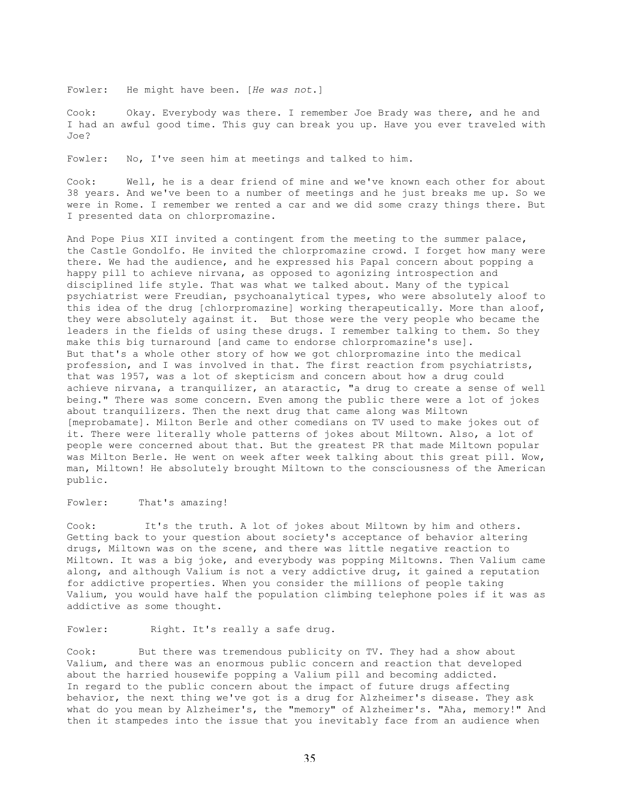Fowler: He might have been. [*He was not*.]

Cook: Okay. Everybody was there. I remember Joe Brady was there, and he and I had an awful good time. This guy can break you up. Have you ever traveled with Joe?

Fowler: No, I've seen him at meetings and talked to him.

Cook: Well, he is a dear friend of mine and we've known each other for about 38 years. And we've been to a number of meetings and he just breaks me up. So we were in Rome. I remember we rented a car and we did some crazy things there. But I presented data on chlorpromazine.

And Pope Pius XII invited a contingent from the meeting to the summer palace, the Castle Gondolfo. He invited the chlorpromazine crowd. I forget how many were there. We had the audience, and he expressed his Papal concern about popping a happy pill to achieve nirvana, as opposed to agonizing introspection and disciplined life style. That was what we talked about. Many of the typical psychiatrist were Freudian, psychoanalytical types, who were absolutely aloof to this idea of the drug [chlorpromazine] working therapeutically. More than aloof, they were absolutely against it. But those were the very people who became the leaders in the fields of using these drugs. I remember talking to them. So they make this big turnaround [and came to endorse chlorpromazine's use]. But that's a whole other story of how we got chlorpromazine into the medical profession, and I was involved in that. The first reaction from psychiatrists, that was 1957, was a lot of skepticism and concern about how a drug could achieve nirvana, a tranquilizer, an ataractic, "a drug to create a sense of well being." There was some concern. Even among the public there were a lot of jokes about tranquilizers. Then the next drug that came along was Miltown [meprobamate]. Milton Berle and other comedians on TV used to make jokes out of it. There were literally whole patterns of jokes about Miltown. Also, a lot of people were concerned about that. But the greatest PR that made Miltown popular was Milton Berle. He went on week after week talking about this great pill. Wow, man, Miltown! He absolutely brought Miltown to the consciousness of the American public.

## Fowler: That's amazing!

Cook: It's the truth. A lot of jokes about Miltown by him and others. Getting back to your question about society's acceptance of behavior altering drugs, Miltown was on the scene, and there was little negative reaction to Miltown. It was a big joke, and everybody was popping Miltowns. Then Valium came along, and although Valium is not a very addictive drug, it gained a reputation for addictive properties. When you consider the millions of people taking Valium, you would have half the population climbing telephone poles if it was as addictive as some thought.

## Fowler: Right. It's really a safe drug.

Cook: But there was tremendous publicity on TV. They had a show about Valium, and there was an enormous public concern and reaction that developed about the harried housewife popping a Valium pill and becoming addicted. In regard to the public concern about the impact of future drugs affecting behavior, the next thing we've got is a drug for Alzheimer's disease. They ask what do you mean by Alzheimer's, the "memory" of Alzheimer's. "Aha, memory!" And then it stampedes into the issue that you inevitably face from an audience when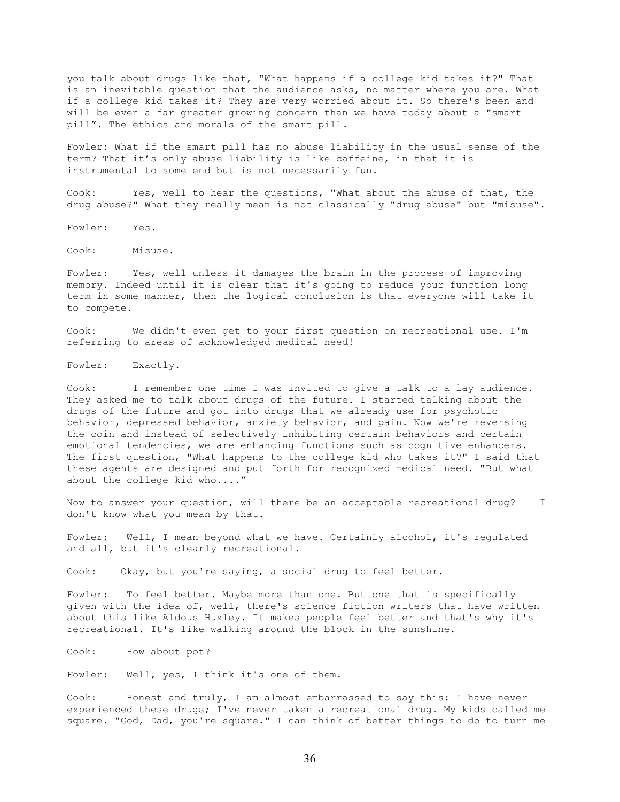you talk about drugs like that, "What happens if a college kid takes it?" That is an inevitable question that the audience asks, no matter where you are. What if a college kid takes it? They are very worried about it. So there's been and will be even a far greater growing concern than we have today about a "smart pill". The ethics and morals of the smart pill.

Fowler: What if the smart pill has no abuse liability in the usual sense of the term? That it's only abuse liability is like caffeine, in that it is instrumental to some end but is not necessarily fun.

Cook: Yes, well to hear the questions, "What about the abuse of that, the drug abuse?" What they really mean is not classically "drug abuse" but "misuse".

Fowler: Yes.

Cook: Misuse.

Fowler: Yes, well unless it damages the brain in the process of improving memory. Indeed until it is clear that it's going to reduce your function long term in some manner, then the logical conclusion is that everyone will take it to compete.

Cook: We didn't even get to your first question on recreational use. I'm referring to areas of acknowledged medical need!

Fowler: Exactly.

Cook: I remember one time I was invited to give a talk to a lay audience. They asked me to talk about drugs of the future. I started talking about the drugs of the future and got into drugs that we already use for psychotic behavior, depressed behavior, anxiety behavior, and pain. Now we're reversing the coin and instead of selectively inhibiting certain behaviors and certain emotional tendencies, we are enhancing functions such as cognitive enhancers. The first question, "What happens to the college kid who takes it?" I said that these agents are designed and put forth for recognized medical need. "But what about the college kid who...."

Now to answer your question, will there be an acceptable recreational drug? I don't know what you mean by that.

Fowler: Well, I mean beyond what we have. Certainly alcohol, it's regulated and all, but it's clearly recreational.

Cook: Okay, but you're saying, a social drug to feel better.

Fowler: To feel better. Maybe more than one. But one that is specifically given with the idea of, well, there's science fiction writers that have written about this like Aldous Huxley. It makes people feel better and that's why it's recreational. It's like walking around the block in the sunshine.

Cook: How about pot?

Fowler: Well, yes, I think it's one of them.

Cook: Honest and truly, I am almost embarrassed to say this: I have never experienced these drugs; I've never taken a recreational drug. My kids called me square. "God, Dad, you're square." I can think of better things to do to turn me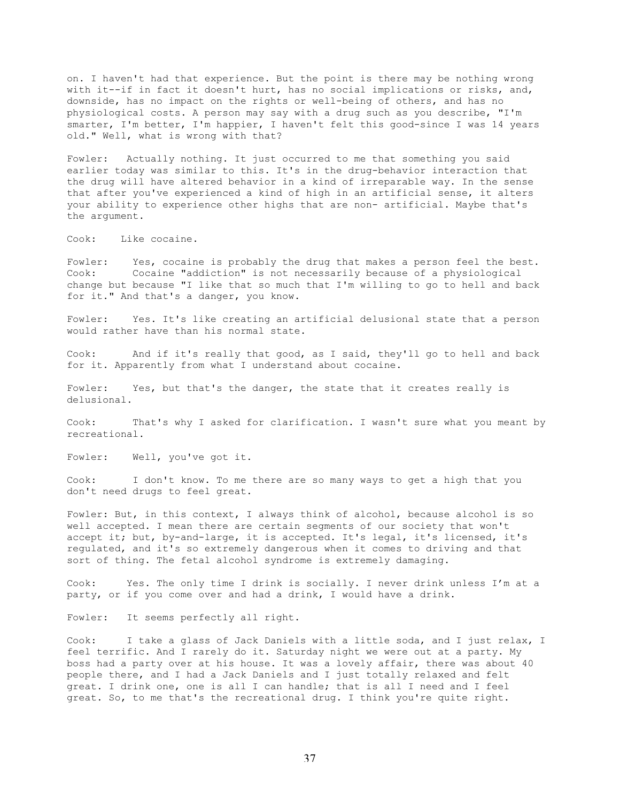on. I haven't had that experience. But the point is there may be nothing wrong with it--if in fact it doesn't hurt, has no social implications or risks, and, downside, has no impact on the rights or well-being of others, and has no physiological costs. A person may say with a drug such as you describe, "I'm smarter, I'm better, I'm happier, I haven't felt this good-since I was 14 years old." Well, what is wrong with that?

Fowler: Actually nothing. It just occurred to me that something you said earlier today was similar to this. It's in the drug-behavior interaction that the drug will have altered behavior in a kind of irreparable way. In the sense that after you've experienced a kind of high in an artificial sense, it alters your ability to experience other highs that are non- artificial. Maybe that's the argument.

Cook: Like cocaine.

Fowler: Yes, cocaine is probably the drug that makes a person feel the best. Cook: Cocaine "addiction" is not necessarily because of a physiological change but because "I like that so much that I'm willing to go to hell and back for it." And that's a danger, you know.

Fowler: Yes. It's like creating an artificial delusional state that a person would rather have than his normal state.

Cook: And if it's really that good, as I said, they'll go to hell and back for it. Apparently from what I understand about cocaine.

Fowler: Yes, but that's the danger, the state that it creates really is delusional.

Cook: That's why I asked for clarification. I wasn't sure what you meant by recreational.

Fowler: Well, you've got it.

Cook: I don't know. To me there are so many ways to get a high that you don't need drugs to feel great.

Fowler: But, in this context, I always think of alcohol, because alcohol is so well accepted. I mean there are certain segments of our society that won't accept it; but, by-and-large, it is accepted. It's legal, it's licensed, it's regulated, and it's so extremely dangerous when it comes to driving and that sort of thing. The fetal alcohol syndrome is extremely damaging.

Cook: Yes. The only time I drink is socially. I never drink unless I'm at a party, or if you come over and had a drink, I would have a drink.

Fowler: It seems perfectly all right.

Cook: I take a glass of Jack Daniels with a little soda, and I just relax, I feel terrific. And I rarely do it. Saturday night we were out at a party. My boss had a party over at his house. It was a lovely affair, there was about 40 people there, and I had a Jack Daniels and I just totally relaxed and felt great. I drink one, one is all I can handle; that is all I need and I feel great. So, to me that's the recreational drug. I think you're quite right.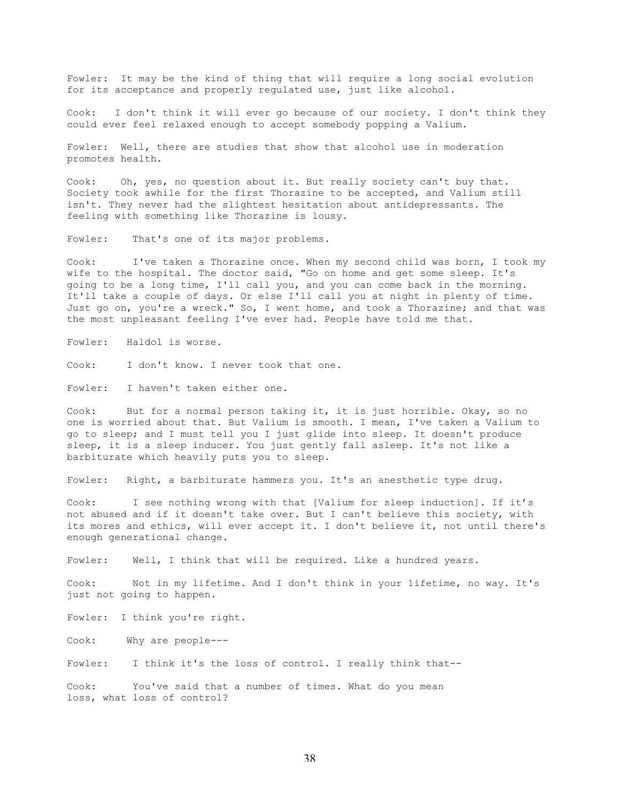Fowler: It may be the kind of thing that will require a long social evolution for its acceptance and properly regulated use, just like alcohol.

Cook: I don't think it will ever go because of our society. I don't think they could ever feel relaxed enough to accept somebody popping a Valium.

Fowler: Well, there are studies that show that alcohol use in moderation promotes health.

Cook: Oh, yes, no question about it. But really society can't buy that. Society took awhile for the first Thorazine to be accepted, and Valium still isn't. They never had the slightest hesitation about antidepressants. The feeling with something like Thorazine is lousy.

Fowler: That's one of its major problems.

Cook: I've taken a Thorazine once. When my second child was born, I took my wife to the hospital. The doctor said, "Go on home and get some sleep. It's going to be a long time, I'll call you, and you can come back in the morning. It'll take a couple of days. Or else I'll call you at night in plenty of time. Just go on, you're a wreck." So, I went home, and took a Thorazine; and that was the most unpleasant feeling I've ever had. People have told me that.

Fowler: Haldol is worse.

Cook: I don't know. I never took that one.

Fowler: I haven't taken either one.

Cook: But for a normal person taking it, it is just horrible. Okay, so no one is worried about that. But Valium is smooth. I mean, I've taken a Valium to go to sleep; and I must tell you I just glide into sleep. It doesn't produce sleep, it is a sleep inducer. You just gently fall asleep. It's not like a barbiturate which heavily puts you to sleep.

Fowler: Right, a barbiturate hammers you. It's an anesthetic type drug.

Cook: I see nothing wrong with that [Valium for sleep induction]. If it's not abused and if it doesn't take over. But I can't believe this society, with its mores and ethics, will ever accept it. I don't believe it, not until there's enough generational change.

Fowler: Well, I think that will be required. Like a hundred years.

Cook: Not in my lifetime. And I don't think in your 1ifetime, no way. It's just not going to happen.

Fowler: I think you're right.

Cook: Why are people---

Fowler: I think it's the loss of control. I really think that--

Cook: You've said that a number of times. What do you mean loss, what loss of control?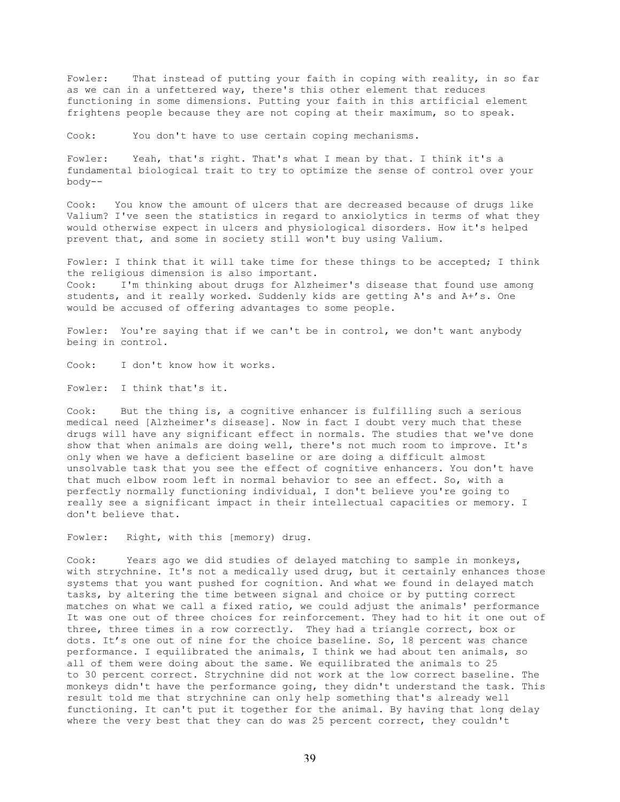Fowler: That instead of putting your faith in coping with reality, in so far as we can in a unfettered way, there's this other element that reduces functioning in some dimensions. Putting your faith in this artificial element frightens people because they are not coping at their maximum, so to speak.

Cook: You don't have to use certain coping mechanisms.

Fowler: Yeah, that's right. That's what I mean by that. I think it's a fundamental biological trait to try to optimize the sense of control over your body--

Cook: You know the amount of ulcers that are decreased because of drugs like Valium? I've seen the statistics in regard to anxiolytics in terms of what they would otherwise expect in ulcers and physiological disorders. How it's helped prevent that, and some in society still won't buy using Valium.

Fowler: I think that it will take time for these things to be accepted; I think the religious dimension is also important. Cook: I'm thinking about drugs for Alzheimer's disease that found use among students, and it really worked. Suddenly kids are getting A's and A+'s. One would be accused of offering advantages to some people.

Fowler: You're saying that if we can't be in control, we don't want anybody being in control.

Cook: I don't know how it works.

Fowler: I think that's it.

Cook: But the thing is, a cognitive enhancer is fulfilling such a serious medical need [Alzheimer's disease]. Now in fact I doubt very much that these drugs will have any significant effect in normals. The studies that we've done show that when animals are doing well, there's not much room to improve. It's only when we have a deficient baseline or are doing a difficult almost unsolvable task that you see the effect of cognitive enhancers. You don't have that much elbow room left in normal behavior to see an effect. So, with a perfectly normally functioning individual, I don't believe you're going to really see a significant impact in their intellectual capacities or memory. I don't believe that.

Fowler: Right, with this [memory) drug.

Cook: Years ago we did studies of delayed matching to sample in monkeys, with strychnine. It's not a medically used drug, but it certainly enhances those systems that you want pushed for cognition. And what we found in delayed match tasks, by altering the time between signal and choice or by putting correct matches on what we call a fixed ratio, we could adjust the animals' performance It was one out of three choices for reinforcement. They had to hit it one out of three, three times in a row correctly. They had a triangle correct, box or dots. It's one out of nine for the choice baseline. So, 18 percent was chance performance. I equilibrated the animals, I think we had about ten animals, so all of them were doing about the same. We equilibrated the animals to 25 to 30 percent correct. Strychnine did not work at the low correct baseline. The monkeys didn't have the performance going, they didn't understand the task. This result told me that strychnine can only help something that's already well functioning. It can't put it together for the animal. By having that long delay where the very best that they can do was 25 percent correct, they couldn't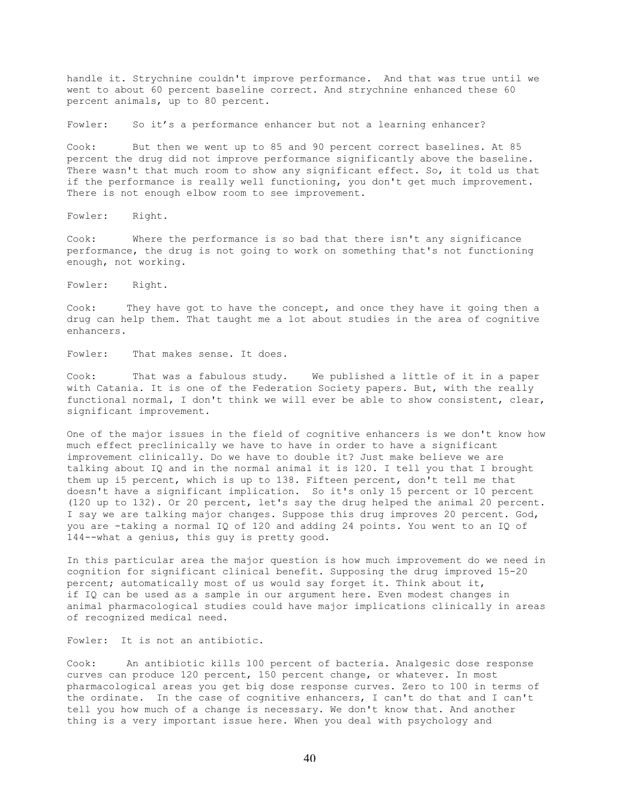handle it. Strychnine couldn't improve performance. And that was true until we went to about 60 percent baseline correct. And strychnine enhanced these 60 percent animals, up to 80 percent.

Fowler: So it's a performance enhancer but not a learning enhancer?

Cook: But then we went up to 85 and 90 percent correct baselines. At 85 percent the drug did not improve performance significantly above the baseline. There wasn't that much room to show any significant effect. So, it told us that if the performance is really well functioning, you don't get much improvement. There is not enough elbow room to see improvement.

Fowler: Right.

Cook: Where the performance is so bad that there isn't any significance performance, the drug is not going to work on something that's not functioning enough, not working.

Fowler: Right.

Cook: They have got to have the concept, and once they have it going then a drug can help them. That taught me a lot about studies in the area of cognitive enhancers.

Fowler: That makes sense. It does.

Cook: That was a fabulous study. We published a little of it in a paper with Catania. It is one of the Federation Society papers. But, with the really functional normal, I don't think we will ever be able to show consistent, clear, significant improvement.

One of the major issues in the field of cognitive enhancers is we don't know how much effect preclinically we have to have in order to have a significant improvement clinically. Do we have to double it? Just make believe we are talking about IQ and in the normal animal it is 120. I tell you that I brought them up i5 percent, which is up to 138. Fifteen percent, don't tell me that doesn't have a significant implication. So it's only 15 percent or 10 percent (120 up to 132). Or 20 percent, let's say the drug helped the animal 20 percent. I say we are talking major changes. Suppose this drug improves 20 percent. God, you are -taking a normal IQ of 120 and adding 24 points. You went to an IQ of 144--what a genius, this guy is pretty good.

In this particular area the major question is how much improvement do we need in cognition for significant clinical benefit. Supposing the drug improved 15-20 percent; automatically most of us would say forget it. Think about it, if IQ can be used as a sample in our argument here. Even modest changes in animal pharmacological studies could have major implications clinically in areas of recognized medical need.

Fowler: It is not an antibiotic.

Cook: An antibiotic kills 100 percent of bacteria. Analgesic dose response curves can produce 120 percent, 150 percent change, or whatever. In most pharmacological areas you get big dose response curves. Zero to 100 in terms of the ordinate. In the case of cognitive enhancers, I can't do that and I can't tell you how much of a change is necessary. We don't know that. And another thing is a very important issue here. When you deal with psychology and